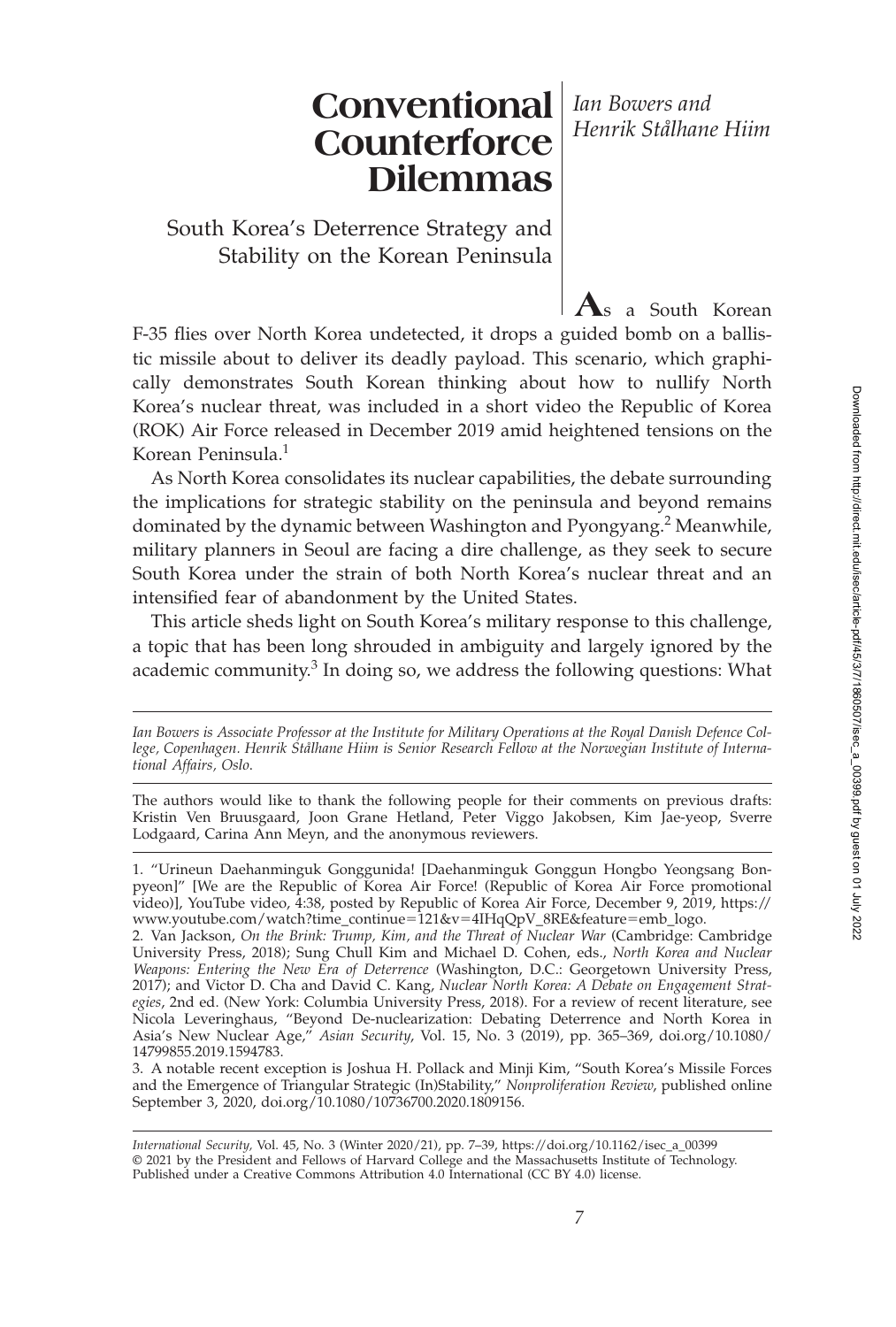# **Conventional** *Ian Bowers and* **Counterforce Dilemmas**

South Korea's Deterrence Strategy and Stability on the Korean Peninsula

F-35 flies over North Korea undetected, it drops a guided bomb on a ballistic missile about to deliver its deadly payload. This scenario, which graphically demonstrates South Korean thinking about how to nullify North Korea's nuclear threat, was included in a short video the Republic of Korea (ROK) Air Force released in December 2019 amid heightened tensions on the Korean Peninsula.<sup>1</sup>

**A**s a South Korean

*Henrik Stålhane Hiim*

As North Korea consolidates its nuclear capabilities, the debate surrounding the implications for strategic stability on the peninsula and beyond remains dominated by the dynamic between Washington and Pyongyang.<sup>2</sup> Meanwhile, military planners in Seoul are facing a dire challenge, as they seek to secure South Korea under the strain of both North Korea's nuclear threat and an intensified fear of abandonment by the United States.

This article sheds light on South Korea's military response to this challenge, a topic that has been long shrouded in ambiguity and largely ignored by the academic community. $3$  In doing so, we address the following questions: What

*Ian Bowers is Associate Professor at the Institute for Military Operations at the Royal Danish Defence College, Copenhagen. Henrik Stålhane Hiim is Senior Research Fellow at the Norwegian Institute of International Affairs, Oslo*.

The authors would like to thank the following people for their comments on previous drafts: Kristin Ven Bruusgaard, Joon Grane Hetland, Peter Viggo Jakobsen, Kim Jae-yeop, Sverre Lodgaard, Carina Ann Meyn, and the anonymous reviewers.

<sup>1. &</sup>quot;Urineun Daehanminguk Gonggunida! [Daehanminguk Gonggun Hongbo Yeongsang Bonpyeon]" [We are the Republic of Korea Air Force! (Republic of Korea Air Force promotional video)], YouTube video, 4:38, posted by Republic of Korea Air Force, December 9, 2019, https:// www.youtube.com/watch?time\_continue-121&v-4IHqQpV\_8RE&feature-emb\_logo.

<sup>2.</sup> Van Jackson, *On the Brink: Trump, Kim, and the Threat of Nuclear War* (Cambridge: Cambridge University Press, 2018); Sung Chull Kim and Michael D. Cohen, eds., *North Korea and Nuclear Weapons: Entering the New Era of Deterrence* (Washington, D.C.: Georgetown University Press, 2017); and Victor D. Cha and David C. Kang, *Nuclear North Korea: A Debate on Engagement Strategies*, 2nd ed. (New York: Columbia University Press, 2018). For a review of recent literature, see Nicola Leveringhaus, "Beyond De-nuclearization: Debating Deterrence and North Korea in Asia's New Nuclear Age," *Asian Security*, Vol. 15, No. 3 (2019), pp. 365–369, doi.org/10.1080/ 14799855.2019.1594783.

<sup>3.</sup> A notable recent exception is Joshua H. Pollack and Minji Kim, "South Korea's Missile Forces and the Emergence of Triangular Strategic (In)Stability," *Nonproliferation Review*, published online September 3, 2020, doi.org/10.1080/10736700.2020.1809156.

*International Security,* Vol. 45, No. 3 (Winter 2020/21), pp. 7–39, https://doi.org/10.1162/isec\_a\_00399 © 2021 by the President and Fellows of Harvard College and the Massachusetts Institute of Technology. Published under a Creative Commons Attribution 4.0 International (CC BY 4.0) license.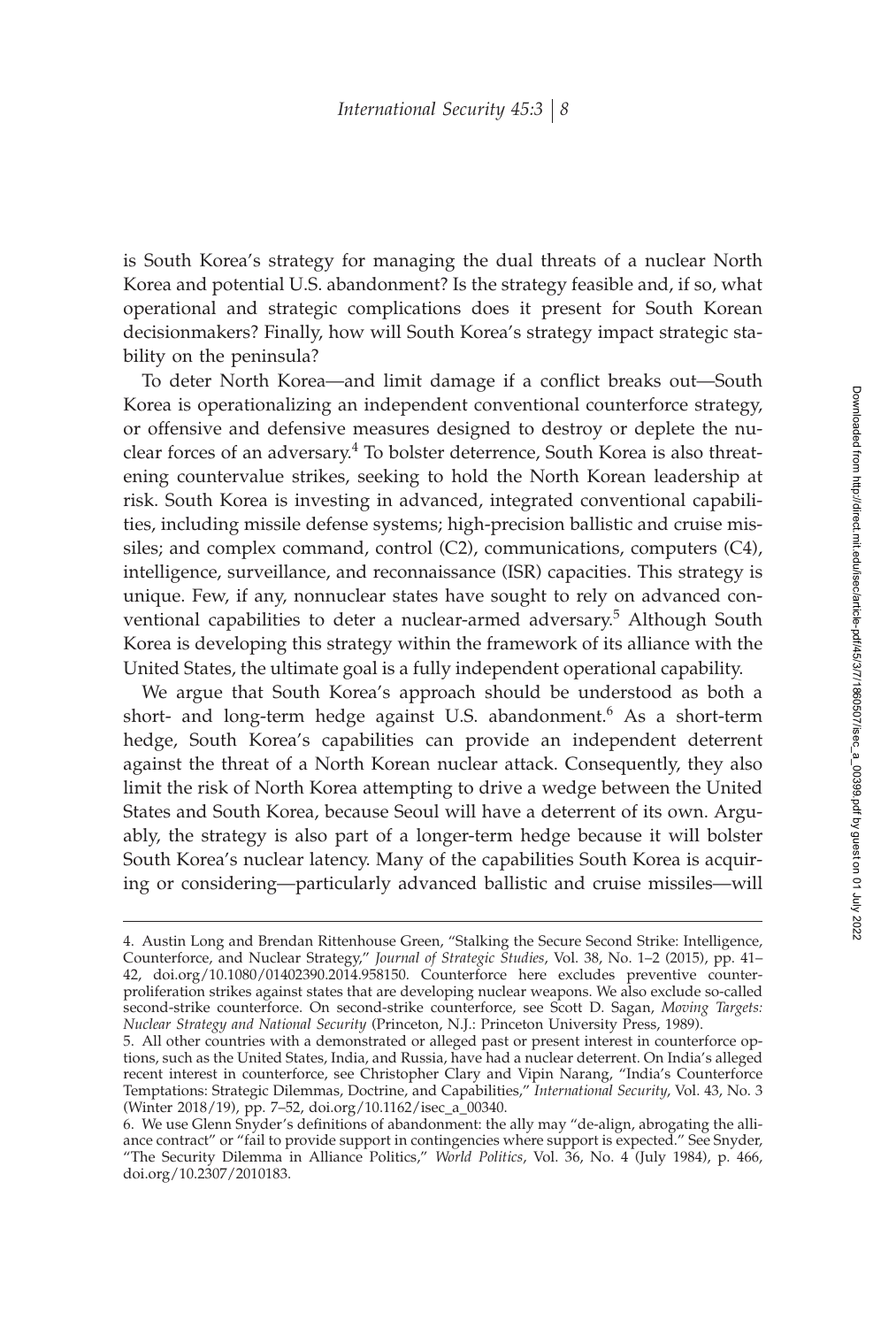is South Korea's strategy for managing the dual threats of a nuclear North Korea and potential U.S. abandonment? Is the strategy feasible and, if so, what operational and strategic complications does it present for South Korean decisionmakers? Finally, how will South Korea's strategy impact strategic stability on the peninsula?

To deter North Korea—and limit damage if a conflict breaks out—South Korea is operationalizing an independent conventional counterforce strategy, or offensive and defensive measures designed to destroy or deplete the nuclear forces of an adversary.<sup>4</sup> To bolster deterrence, South Korea is also threatening countervalue strikes, seeking to hold the North Korean leadership at risk. South Korea is investing in advanced, integrated conventional capabilities, including missile defense systems; high-precision ballistic and cruise missiles; and complex command, control (C2), communications, computers (C4), intelligence, surveillance, and reconnaissance (ISR) capacities. This strategy is unique. Few, if any, nonnuclear states have sought to rely on advanced conventional capabilities to deter a nuclear-armed adversary.<sup>5</sup> Although South Korea is developing this strategy within the framework of its alliance with the United States, the ultimate goal is a fully independent operational capability.

We argue that South Korea's approach should be understood as both a short- and long-term hedge against U.S. abandonment.<sup>6</sup> As a short-term hedge, South Korea's capabilities can provide an independent deterrent against the threat of a North Korean nuclear attack. Consequently, they also limit the risk of North Korea attempting to drive a wedge between the United States and South Korea, because Seoul will have a deterrent of its own. Arguably, the strategy is also part of a longer-term hedge because it will bolster South Korea's nuclear latency. Many of the capabilities South Korea is acquiring or considering—particularly advanced ballistic and cruise missiles—will

<sup>4.</sup> Austin Long and Brendan Rittenhouse Green, "Stalking the Secure Second Strike: Intelligence, Counterforce, and Nuclear Strategy," *Journal of Strategic Studies*, Vol. 38, No. 1–2 (2015), pp. 41– 42, doi.org/10.1080/01402390.2014.958150. Counterforce here excludes preventive counterproliferation strikes against states that are developing nuclear weapons. We also exclude so-called second-strike counterforce. On second-strike counterforce, see Scott D. Sagan, *Moving Targets: Nuclear Strategy and National Security* (Princeton, N.J.: Princeton University Press, 1989).

<sup>5.</sup> All other countries with a demonstrated or alleged past or present interest in counterforce options, such as the United States, India, and Russia, have had a nuclear deterrent. On India's alleged recent interest in counterforce, see Christopher Clary and Vipin Narang, "India's Counterforce Temptations: Strategic Dilemmas, Doctrine, and Capabilities," *International Security*, Vol. 43, No. 3 (Winter 2018/19), pp. 7–52, doi.org/10.1162/isec\_a\_00340.

<sup>6.</sup> We use Glenn Snyder's definitions of abandonment: the ally may "de-align, abrogating the alliance contract" or "fail to provide support in contingencies where support is expected." See Snyder, "The Security Dilemma in Alliance Politics," *World Politics*, Vol. 36, No. 4 (July 1984), p. 466, doi.org/10.2307/2010183.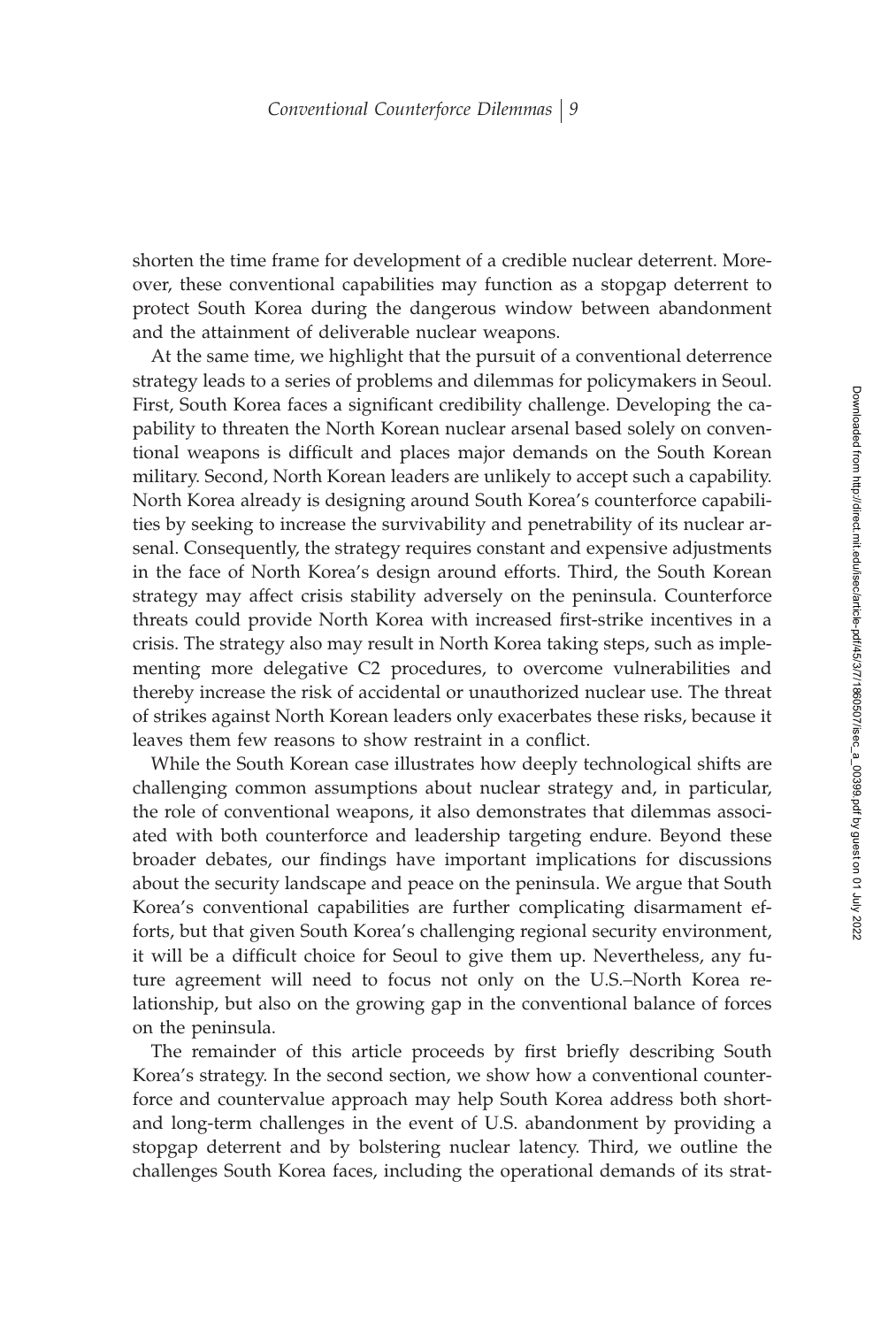shorten the time frame for development of a credible nuclear deterrent. Moreover, these conventional capabilities may function as a stopgap deterrent to protect South Korea during the dangerous window between abandonment and the attainment of deliverable nuclear weapons.

At the same time, we highlight that the pursuit of a conventional deterrence strategy leads to a series of problems and dilemmas for policymakers in Seoul. First, South Korea faces a significant credibility challenge. Developing the capability to threaten the North Korean nuclear arsenal based solely on conventional weapons is difficult and places major demands on the South Korean military. Second, North Korean leaders are unlikely to accept such a capability. North Korea already is designing around South Korea's counterforce capabilities by seeking to increase the survivability and penetrability of its nuclear arsenal. Consequently, the strategy requires constant and expensive adjustments in the face of North Korea's design around efforts. Third, the South Korean strategy may affect crisis stability adversely on the peninsula. Counterforce threats could provide North Korea with increased first-strike incentives in a crisis. The strategy also may result in North Korea taking steps, such as implementing more delegative C2 procedures, to overcome vulnerabilities and thereby increase the risk of accidental or unauthorized nuclear use. The threat of strikes against North Korean leaders only exacerbates these risks, because it leaves them few reasons to show restraint in a conflict.

While the South Korean case illustrates how deeply technological shifts are challenging common assumptions about nuclear strategy and, in particular, the role of conventional weapons, it also demonstrates that dilemmas associated with both counterforce and leadership targeting endure. Beyond these broader debates, our findings have important implications for discussions about the security landscape and peace on the peninsula. We argue that South Korea's conventional capabilities are further complicating disarmament efforts, but that given South Korea's challenging regional security environment, it will be a difficult choice for Seoul to give them up. Nevertheless, any future agreement will need to focus not only on the U.S.–North Korea relationship, but also on the growing gap in the conventional balance of forces on the peninsula.

The remainder of this article proceeds by first briefly describing South Korea's strategy. In the second section, we show how a conventional counterforce and countervalue approach may help South Korea address both shortand long-term challenges in the event of U.S. abandonment by providing a stopgap deterrent and by bolstering nuclear latency. Third, we outline the challenges South Korea faces, including the operational demands of its strat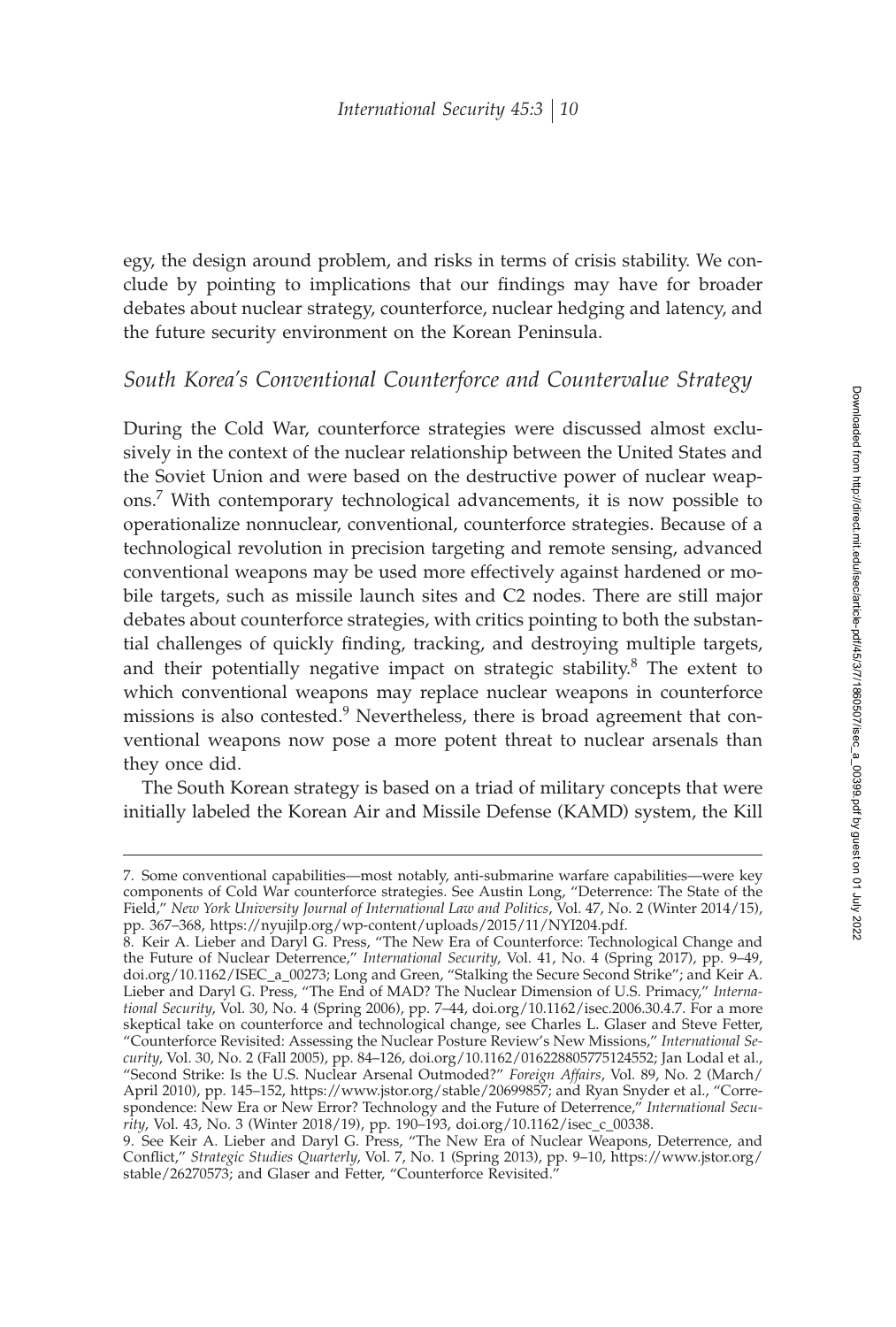egy, the design around problem, and risks in terms of crisis stability. We conclude by pointing to implications that our findings may have for broader debates about nuclear strategy, counterforce, nuclear hedging and latency, and the future security environment on the Korean Peninsula.

## *South Korea's Conventional Counterforce and Countervalue Strategy*

During the Cold War, counterforce strategies were discussed almost exclusively in the context of the nuclear relationship between the United States and the Soviet Union and were based on the destructive power of nuclear weapons.<sup>7</sup> With contemporary technological advancements, it is now possible to operationalize nonnuclear, conventional, counterforce strategies. Because of a technological revolution in precision targeting and remote sensing, advanced conventional weapons may be used more effectively against hardened or mobile targets, such as missile launch sites and C2 nodes. There are still major debates about counterforce strategies, with critics pointing to both the substantial challenges of quickly finding, tracking, and destroying multiple targets, and their potentially negative impact on strategic stability.<sup>8</sup> The extent to which conventional weapons may replace nuclear weapons in counterforce missions is also contested.<sup>9</sup> Nevertheless, there is broad agreement that conventional weapons now pose a more potent threat to nuclear arsenals than they once did.

The South Korean strategy is based on a triad of military concepts that were initially labeled the Korean Air and Missile Defense (KAMD) system, the Kill

<sup>7.</sup> Some conventional capabilities—most notably, anti-submarine warfare capabilities—were key components of Cold War counterforce strategies. See Austin Long, "Deterrence: The State of the Field," *New York University Journal of International Law and Politics*, Vol. 47, No. 2 (Winter 2014/15), pp. 367–368, https://nyujilp.org/wp-content/uploads/2015/11/NYI204.pdf.

<sup>8.</sup> Keir A. Lieber and Daryl G. Press, "The New Era of Counterforce: Technological Change and the Future of Nuclear Deterrence," *International Security*, Vol. 41, No. 4 (Spring 2017), pp. 9–49, doi.org/10.1162/ISEC\_a\_00273; Long and Green, "Stalking the Secure Second Strike"; and Keir A. Lieber and Daryl G. Press, "The End of MAD? The Nuclear Dimension of U.S. Primacy," *International Security*, Vol. 30, No. 4 (Spring 2006), pp. 7–44, doi.org/10.1162/isec.2006.30.4.7. For a more skeptical take on counterforce and technological change, see Charles L. Glaser and Steve Fetter, "Counterforce Revisited: Assessing the Nuclear Posture Review's New Missions," *International Security*, Vol. 30, No. 2 (Fall 2005), pp. 84–126, doi.org/10.1162/016228805775124552; Jan Lodal et al., "Second Strike: Is the U.S. Nuclear Arsenal Outmoded?" *Foreign Affairs*, Vol. 89, No. 2 (March/ April 2010), pp. 145–152, https://www.jstor.org/stable/20699857; and Ryan Snyder et al., "Correspondence: New Era or New Error? Technology and the Future of Deterrence," *International Security*, Vol. 43, No. 3 (Winter 2018/19), pp. 190–193, doi.org/10.1162/isec\_c\_00338.

<sup>9.</sup> See Keir A. Lieber and Daryl G. Press, "The New Era of Nuclear Weapons, Deterrence, and Conºict," *Strategic Studies Quarterly*, Vol. 7, No. 1 (Spring 2013), pp. 9–10, https://www.jstor.org/ stable/26270573; and Glaser and Fetter, "Counterforce Revisited."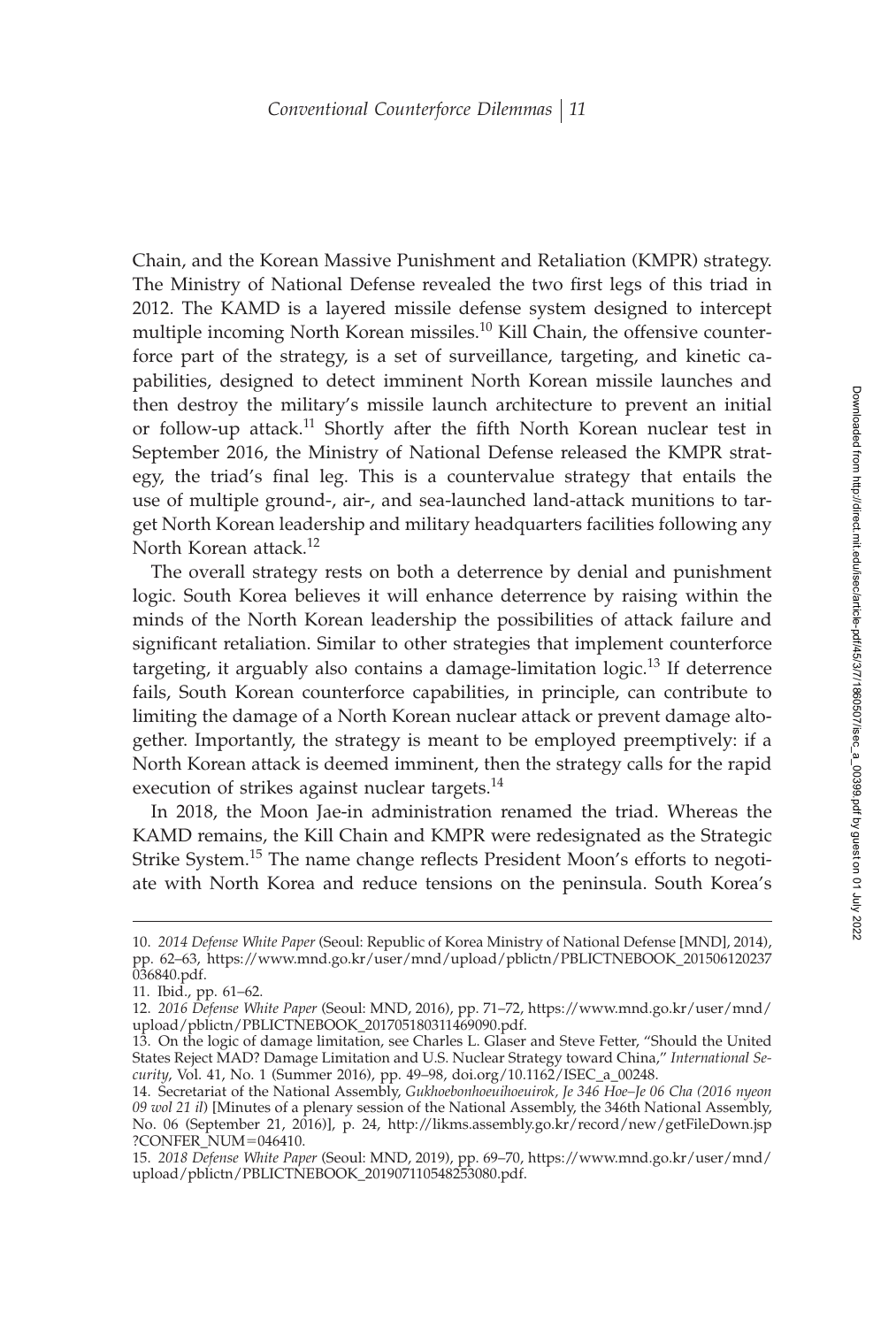Chain, and the Korean Massive Punishment and Retaliation (KMPR) strategy. The Ministry of National Defense revealed the two first legs of this triad in 2012. The KAMD is a layered missile defense system designed to intercept multiple incoming North Korean missiles.<sup>10</sup> Kill Chain, the offensive counterforce part of the strategy, is a set of surveillance, targeting, and kinetic capabilities, designed to detect imminent North Korean missile launches and then destroy the military's missile launch architecture to prevent an initial or follow-up attack.<sup>11</sup> Shortly after the fifth North Korean nuclear test in September 2016, the Ministry of National Defense released the KMPR strategy, the triad's final leg. This is a countervalue strategy that entails the use of multiple ground-, air-, and sea-launched land-attack munitions to target North Korean leadership and military headquarters facilities following any North Korean attack.<sup>12</sup>

The overall strategy rests on both a deterrence by denial and punishment logic. South Korea believes it will enhance deterrence by raising within the minds of the North Korean leadership the possibilities of attack failure and significant retaliation. Similar to other strategies that implement counterforce targeting, it arguably also contains a damage-limitation logic.<sup>13</sup> If deterrence fails, South Korean counterforce capabilities, in principle, can contribute to limiting the damage of a North Korean nuclear attack or prevent damage altogether. Importantly, the strategy is meant to be employed preemptively: if a North Korean attack is deemed imminent, then the strategy calls for the rapid execution of strikes against nuclear targets.<sup>14</sup>

In 2018, the Moon Jae-in administration renamed the triad. Whereas the KAMD remains, the Kill Chain and KMPR were redesignated as the Strategic Strike System.<sup>15</sup> The name change reflects President Moon's efforts to negotiate with North Korea and reduce tensions on the peninsula. South Korea's

<sup>10.</sup> *2014 Defense White Paper* (Seoul: Republic of Korea Ministry of National Defense [MND], 2014), pp. 62–63, https://www.mnd.go.kr/user/mnd/upload/pblictn/PBLICTNEBOOK\_201506120237 036840.pdf.

<sup>11.</sup> Ibid., pp. 61–62.

<sup>12.</sup> *2016 Defense White Paper* (Seoul: MND, 2016), pp. 71–72, https://www.mnd.go.kr/user/mnd/ upload/pblictn/PBLICTNEBOOK\_201705180311469090.pdf.

<sup>13.</sup> On the logic of damage limitation, see Charles L. Glaser and Steve Fetter, "Should the United States Reject MAD? Damage Limitation and U.S. Nuclear Strategy toward China," *International Security*, Vol. 41, No. 1 (Summer 2016), pp. 49–98, doi.org/10.1162/ISEC\_a\_00248.

<sup>14.</sup> Secretariat of the National Assembly, *Gukhoebonhoeuihoeuirok, Je 346 Hoe–Je 06 Cha (2016 nyeon 09 wol 21 il*) [Minutes of a plenary session of the National Assembly, the 346th National Assembly, No. 06 (September 21, 2016)], p. 24, http://likms.assembly.go.kr/record/new/getFileDown.jsp ?CONFER\_NUM=046410.

<sup>15.</sup> *2018 Defense White Paper* (Seoul: MND, 2019), pp. 69–70, https://www.mnd.go.kr/user/mnd/ upload/pblictn/PBLICTNEBOOK\_201907110548253080.pdf.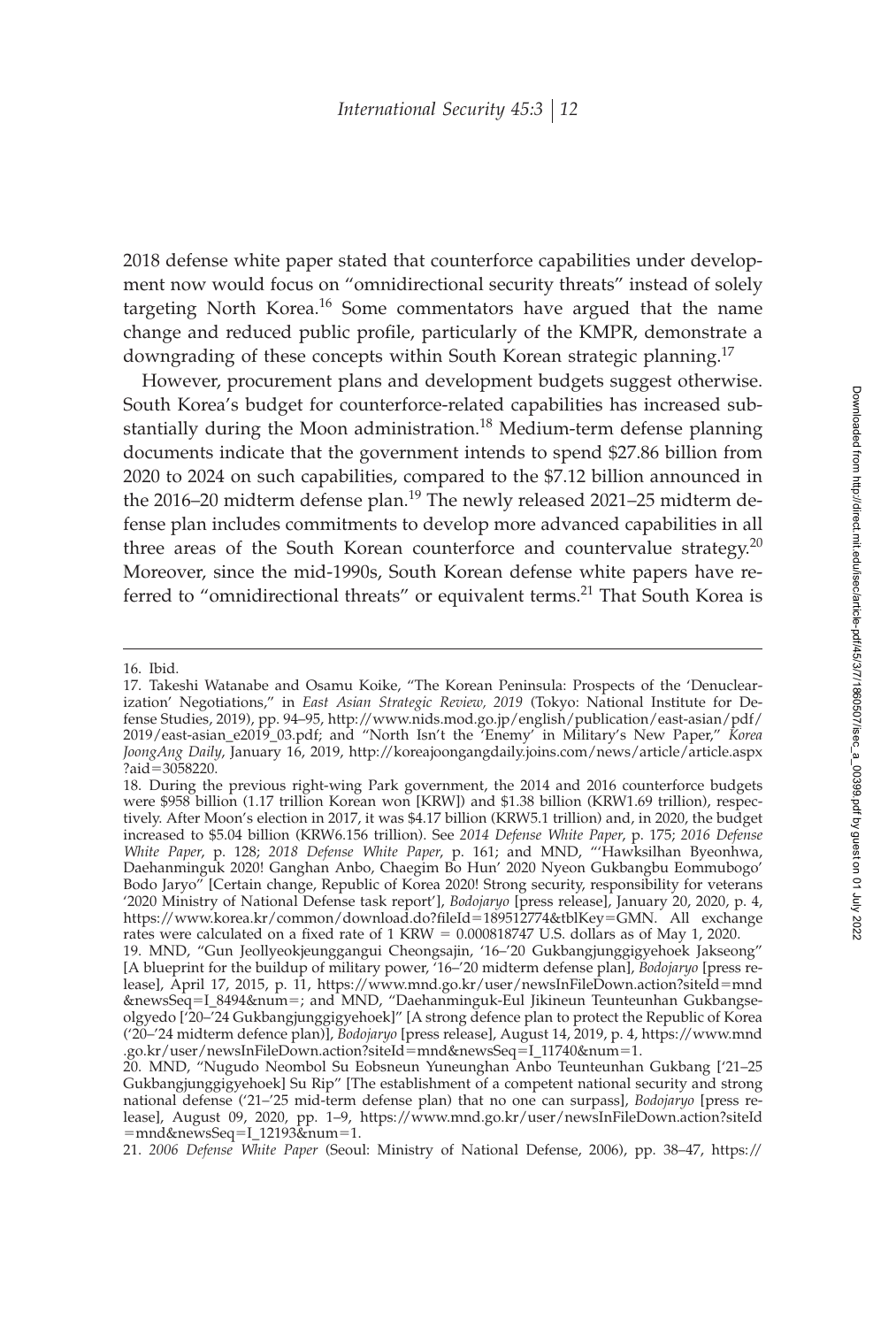2018 defense white paper stated that counterforce capabilities under development now would focus on "omnidirectional security threats" instead of solely targeting North Korea.<sup>16</sup> Some commentators have argued that the name change and reduced public profile, particularly of the KMPR, demonstrate a downgrading of these concepts within South Korean strategic planning.<sup>17</sup>

However, procurement plans and development budgets suggest otherwise. South Korea's budget for counterforce-related capabilities has increased substantially during the Moon administration.<sup>18</sup> Medium-term defense planning documents indicate that the government intends to spend \$27.86 billion from 2020 to 2024 on such capabilities, compared to the \$7.12 billion announced in the 2016–20 midterm defense plan.<sup>19</sup> The newly released 2021–25 midterm defense plan includes commitments to develop more advanced capabilities in all three areas of the South Korean counterforce and countervalue strategy. $20$ Moreover, since the mid-1990s, South Korean defense white papers have referred to "omnidirectional threats" or equivalent terms.<sup>21</sup> That South Korea is

21. *2006 Defense White Paper* (Seoul: Ministry of National Defense, 2006), pp. 38–47, https://

<sup>16.</sup> Ibid.

<sup>17.</sup> Takeshi Watanabe and Osamu Koike, "The Korean Peninsula: Prospects of the 'Denuclearization' Negotiations," in *East Asian Strategic Review, 2019* (Tokyo: National Institute for Defense Studies, 2019), pp. 94–95, http://www.nids.mod.go.jp/english/publication/east-asian/pdf/ 2019/east-asian\_e2019\_03.pdf; and "North Isn't the 'Enemy' in Military's New Paper," *Korea JoongAng Daily*, January 16, 2019, http://koreajoongangdaily.joins.com/news/article/article.aspx ?aid-3058220.

<sup>18.</sup> During the previous right-wing Park government, the 2014 and 2016 counterforce budgets were \$958 billion (1.17 trillion Korean won [KRW]) and \$1.38 billion (KRW1.69 trillion), respectively. After Moon's election in 2017, it was \$4.17 billion (KRW5.1 trillion) and, in 2020, the budget increased to \$5.04 billion (KRW6.156 trillion). See *2014 Defense White Paper*, p. 175; *2016 Defense White Paper*, p. 128; *2018 Defense White Paper*, p. 161; and MND, "'Hawksilhan Byeonhwa, Daehanminguk 2020! Ganghan Anbo, Chaegim Bo Hun' 2020 Nyeon Gukbangbu Eommubogo' Bodo Jaryo" [Certain change, Republic of Korea 2020! Strong security, responsibility for veterans '2020 Ministry of National Defense task report'], *Bodojaryo* [press release], January 20, 2020, p. 4, https://www.korea.kr/common/download.do?ªleId-189512774&tblKey-GMN. All exchange rates were calculated on a fixed rate of 1 KRW =  $0.000818747$  U.S. dollars as of May 1, 2020.

<sup>19.</sup> MND, "Gun Jeollyeokjeunggangui Cheongsajin, '16–'20 Gukbangjunggigyehoek Jakseong" [A blueprint for the buildup of military power, '16–'20 midterm defense plan], *Bodojaryo* [press release], April 17, 2015, p. 11, https://www.mnd.go.kr/user/newsInFileDown.action?siteId-mnd &newsSeq-I\_8494&num-; and MND, "Daehanminguk-Eul Jikineun Teunteunhan Gukbangseolgyedo ['20–'24 Gukbangjunggigyehoek]" [A strong defence plan to protect the Republic of Korea ('20–'24 midterm defence plan)], *Bodojaryo* [press release], August 14, 2019, p. 4, https://www.mnd .go.kr/user/newsInFileDown.action?siteId-mnd&newsSeq-I\_11740&num-1.

<sup>20.</sup> MND, "Nugudo Neombol Su Eobsneun Yuneunghan Anbo Teunteunhan Gukbang ['21–25 Gukbangjunggigyehoek] Su Rip" [The establishment of a competent national security and strong national defense ('21–'25 mid-term defense plan) that no one can surpass], *Bodojaryo* [press release], August 09, 2020, pp. 1–9, https://www.mnd.go.kr/user/newsInFileDown.action?siteId -mnd&newsSeq-I\_12193&num-1.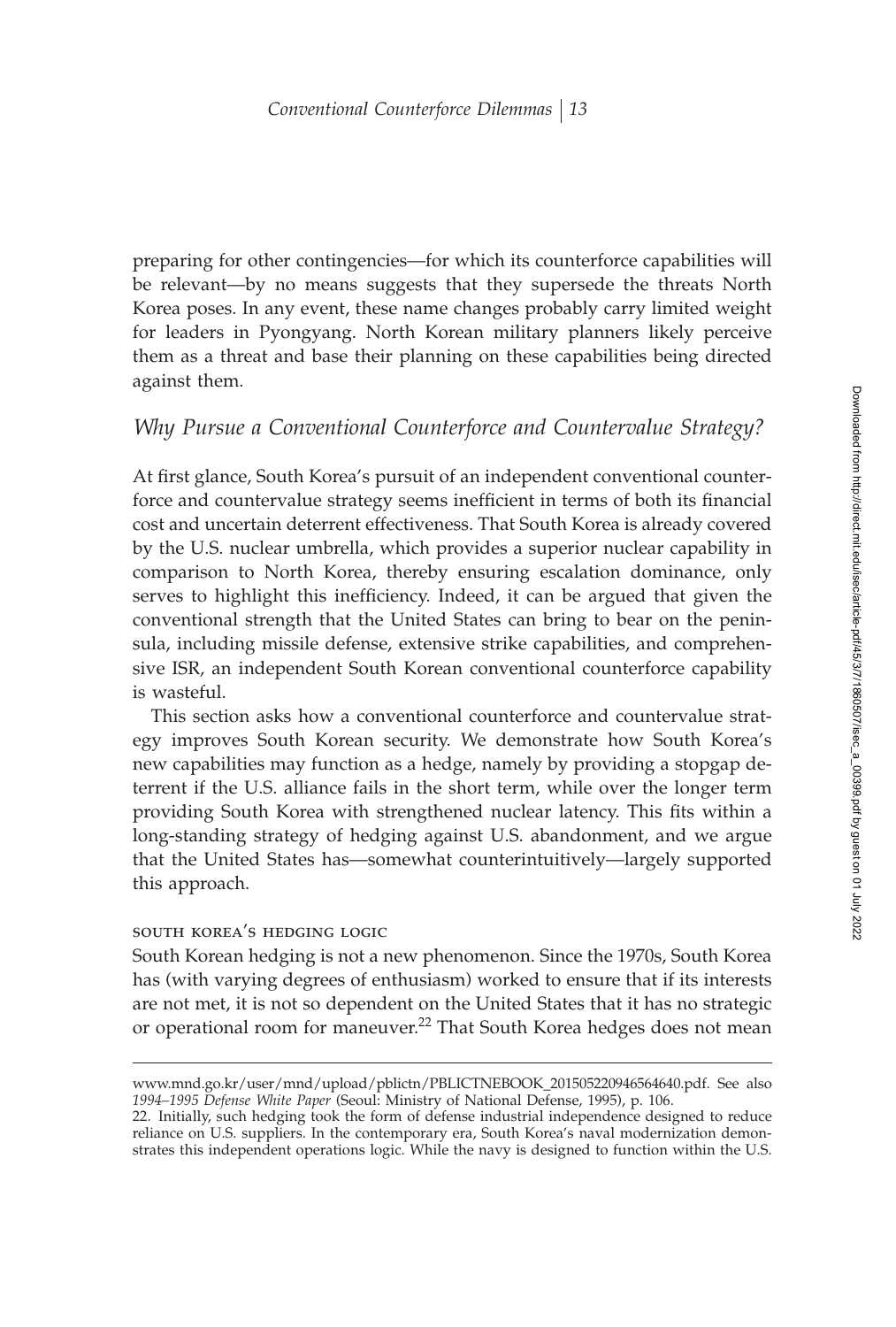preparing for other contingencies—for which its counterforce capabilities will be relevant—by no means suggests that they supersede the threats North Korea poses. In any event, these name changes probably carry limited weight for leaders in Pyongyang. North Korean military planners likely perceive them as a threat and base their planning on these capabilities being directed against them.

## *Why Pursue a Conventional Counterforce and Countervalue Strategy?*

At first glance, South Korea's pursuit of an independent conventional counterforce and countervalue strategy seems inefficient in terms of both its financial cost and uncertain deterrent effectiveness. That South Korea is already covered by the U.S. nuclear umbrella, which provides a superior nuclear capability in comparison to North Korea, thereby ensuring escalation dominance, only serves to highlight this inefficiency. Indeed, it can be argued that given the conventional strength that the United States can bring to bear on the peninsula, including missile defense, extensive strike capabilities, and comprehensive ISR, an independent South Korean conventional counterforce capability is wasteful.

This section asks how a conventional counterforce and countervalue strategy improves South Korean security. We demonstrate how South Korea's new capabilities may function as a hedge, namely by providing a stopgap deterrent if the U.S. alliance fails in the short term, while over the longer term providing South Korea with strengthened nuclear latency. This fits within a long-standing strategy of hedging against U.S. abandonment, and we argue that the United States has—somewhat counterintuitively—largely supported this approach.

#### south korea's hedging logic

South Korean hedging is not a new phenomenon. Since the 1970s, South Korea has (with varying degrees of enthusiasm) worked to ensure that if its interests are not met, it is not so dependent on the United States that it has no strategic or operational room for maneuver.<sup>22</sup> That South Korea hedges does not mean

www.mnd.go.kr/user/mnd/upload/pblictn/PBLICTNEBOOK\_201505220946564640.pdf. See also *1994–1995 Defense White Paper* (Seoul: Ministry of National Defense, 1995), p. 106.

<sup>22.</sup> Initially, such hedging took the form of defense industrial independence designed to reduce reliance on U.S. suppliers. In the contemporary era, South Korea's naval modernization demonstrates this independent operations logic. While the navy is designed to function within the U.S.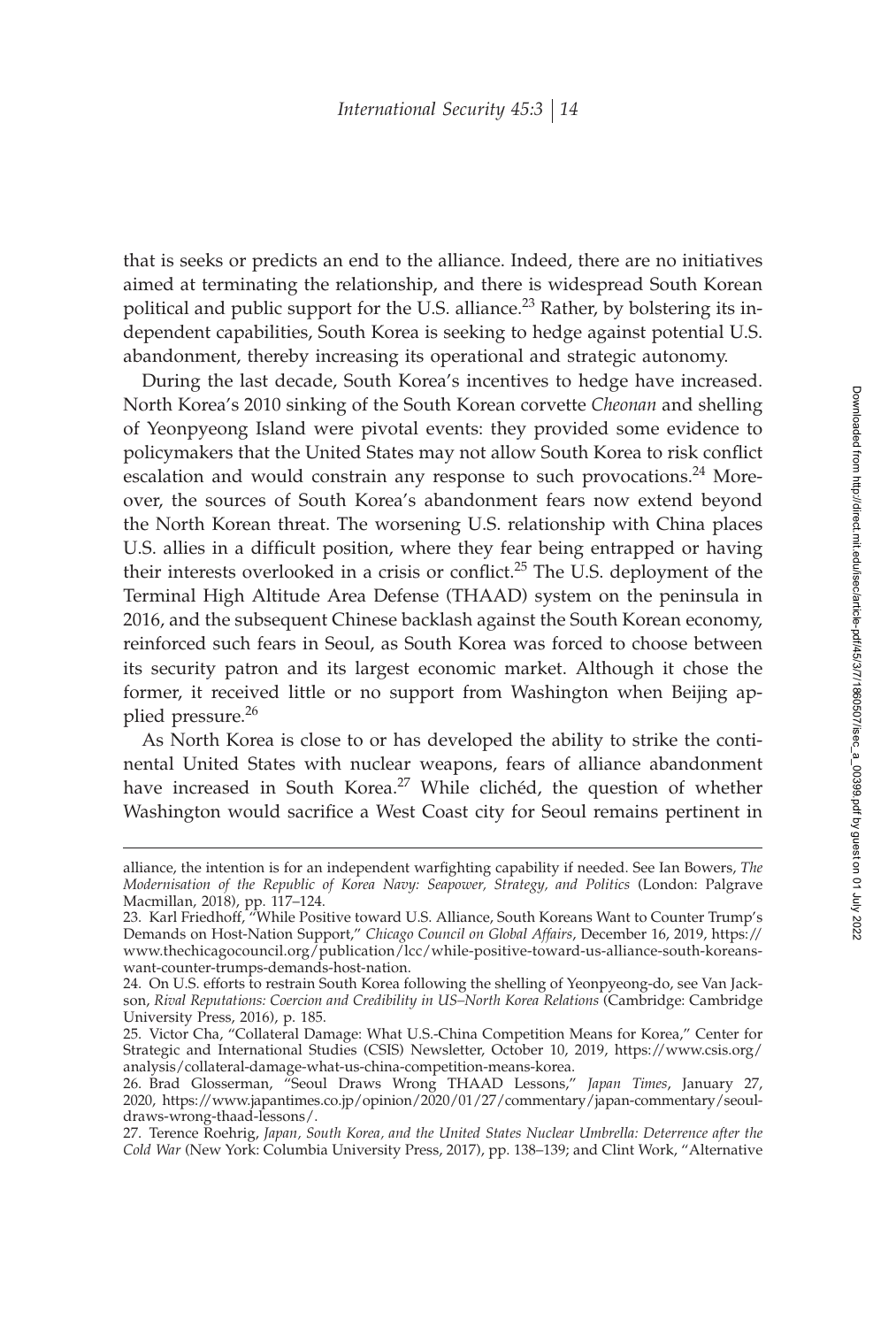that is seeks or predicts an end to the alliance. Indeed, there are no initiatives aimed at terminating the relationship, and there is widespread South Korean political and public support for the U.S. alliance.<sup>23</sup> Rather, by bolstering its independent capabilities, South Korea is seeking to hedge against potential U.S. abandonment, thereby increasing its operational and strategic autonomy.

During the last decade, South Korea's incentives to hedge have increased. North Korea's 2010 sinking of the South Korean corvette *Cheonan* and shelling of Yeonpyeong Island were pivotal events: they provided some evidence to policymakers that the United States may not allow South Korea to risk conflict escalation and would constrain any response to such provocations. $24$  Moreover, the sources of South Korea's abandonment fears now extend beyond the North Korean threat. The worsening U.S. relationship with China places U.S. allies in a difficult position, where they fear being entrapped or having their interests overlooked in a crisis or conflict.<sup>25</sup> The U.S. deployment of the Terminal High Altitude Area Defense (THAAD) system on the peninsula in 2016, and the subsequent Chinese backlash against the South Korean economy, reinforced such fears in Seoul, as South Korea was forced to choose between its security patron and its largest economic market. Although it chose the former, it received little or no support from Washington when Beijing applied pressure.<sup>26</sup>

As North Korea is close to or has developed the ability to strike the continental United States with nuclear weapons, fears of alliance abandonment have increased in South Korea.<sup>27</sup> While clichéd, the question of whether Washington would sacrifice a West Coast city for Seoul remains pertinent in

alliance, the intention is for an independent warfighting capability if needed. See Ian Bowers, *The Modernisation of the Republic of Korea Navy: Seapower, Strategy, and Politics* (London: Palgrave Macmillan, 2018), pp. 117–124.

<sup>23.</sup> Karl Friedhoff, "While Positive toward U.S. Alliance, South Koreans Want to Counter Trump's Demands on Host-Nation Support," *Chicago Council on Global Affairs*, December 16, 2019, https:// www.thechicagocouncil.org/publication/lcc/while-positive-toward-us-alliance-south-koreanswant-counter-trumps-demands-host-nation.

<sup>24.</sup> On U.S. efforts to restrain South Korea following the shelling of Yeonpyeong-do, see Van Jackson, *Rival Reputations: Coercion and Credibility in US–North Korea Relations* (Cambridge: Cambridge University Press, 2016), p. 185.

<sup>25.</sup> Victor Cha, "Collateral Damage: What U.S.-China Competition Means for Korea," Center for Strategic and International Studies (CSIS) Newsletter, October 10, 2019, https://www.csis.org/ analysis/collateral-damage-what-us-china-competition-means-korea.

<sup>26.</sup> Brad Glosserman, "Seoul Draws Wrong THAAD Lessons," *Japan Times*, January 27, 2020, https://www.japantimes.co.jp/opinion/2020/01/27/commentary/japan-commentary/seouldraws-wrong-thaad-lessons/.

<sup>27.</sup> Terence Roehrig, *Japan, South Korea, and the United States Nuclear Umbrella: Deterrence after the Cold War* (New York: Columbia University Press, 2017), pp. 138–139; and Clint Work, "Alternative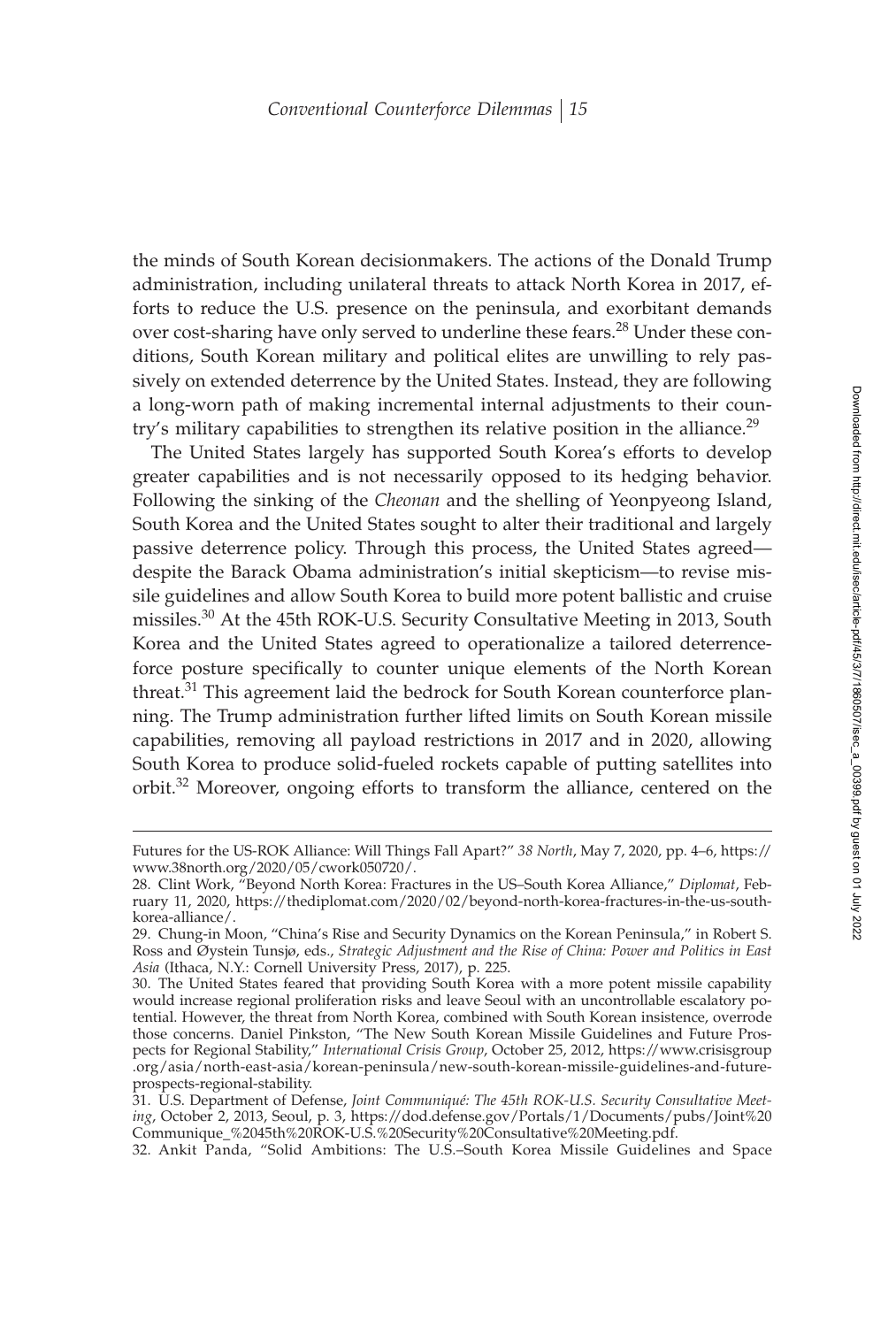the minds of South Korean decisionmakers. The actions of the Donald Trump administration, including unilateral threats to attack North Korea in 2017, efforts to reduce the U.S. presence on the peninsula, and exorbitant demands over cost-sharing have only served to underline these fears.<sup>28</sup> Under these conditions, South Korean military and political elites are unwilling to rely passively on extended deterrence by the United States. Instead, they are following a long-worn path of making incremental internal adjustments to their country's military capabilities to strengthen its relative position in the alliance.<sup>29</sup>

The United States largely has supported South Korea's efforts to develop greater capabilities and is not necessarily opposed to its hedging behavior. Following the sinking of the *Cheonan* and the shelling of Yeonpyeong Island, South Korea and the United States sought to alter their traditional and largely passive deterrence policy. Through this process, the United States agreed despite the Barack Obama administration's initial skepticism—to revise missile guidelines and allow South Korea to build more potent ballistic and cruise missiles.30 At the 45th ROK-U.S. Security Consultative Meeting in 2013, South Korea and the United States agreed to operationalize a tailored deterrenceforce posture specifically to counter unique elements of the North Korean threat.<sup>31</sup> This agreement laid the bedrock for South Korean counterforce planning. The Trump administration further lifted limits on South Korean missile capabilities, removing all payload restrictions in 2017 and in 2020, allowing South Korea to produce solid-fueled rockets capable of putting satellites into orbit.<sup>32</sup> Moreover, ongoing efforts to transform the alliance, centered on the

Futures for the US-ROK Alliance: Will Things Fall Apart?" *38 North*, May 7, 2020, pp. 4–6, https:// www.38north.org/2020/05/cwork050720/.

<sup>28.</sup> Clint Work, "Beyond North Korea: Fractures in the US–South Korea Alliance," *Diplomat*, February 11, 2020, https://thediplomat.com/2020/02/beyond-north-korea-fractures-in-the-us-southkorea-alliance/.

<sup>29.</sup> Chung-in Moon, "China's Rise and Security Dynamics on the Korean Peninsula," in Robert S. Ross and Øystein Tunsjø, eds., *Strategic Adjustment and the Rise of China: Power and Politics in East Asia* (Ithaca, N.Y.: Cornell University Press, 2017), p. 225.

<sup>30.</sup> The United States feared that providing South Korea with a more potent missile capability would increase regional proliferation risks and leave Seoul with an uncontrollable escalatory potential. However, the threat from North Korea, combined with South Korean insistence, overrode those concerns. Daniel Pinkston, "The New South Korean Missile Guidelines and Future Prospects for Regional Stability," *International Crisis Group*, October 25, 2012, https://www.crisisgroup .org/asia/north-east-asia/korean-peninsula/new-south-korean-missile-guidelines-and-futureprospects-regional-stability.

<sup>31.</sup> U.S. Department of Defense, *Joint Communiqué: The 45th ROK-U.S. Security Consultative Meeting*, October 2, 2013, Seoul, p. 3, https://dod.defense.gov/Portals/1/Documents/pubs/Joint%20 Communique\_%2045th%20ROK-U.S.%20Security%20Consultative%20Meeting.pdf.

<sup>32.</sup> Ankit Panda, "Solid Ambitions: The U.S.–South Korea Missile Guidelines and Space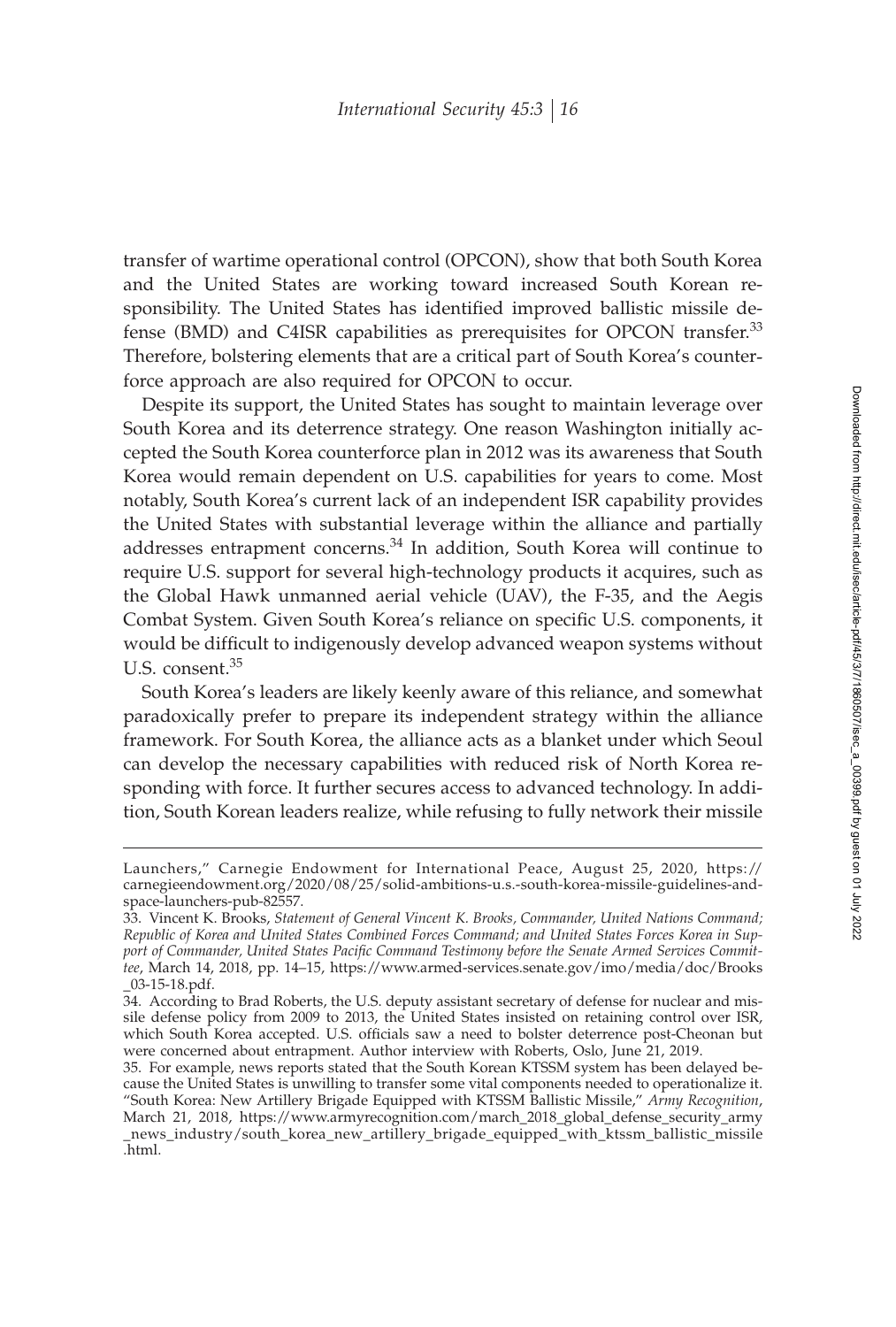transfer of wartime operational control (OPCON), show that both South Korea and the United States are working toward increased South Korean responsibility. The United States has identified improved ballistic missile defense (BMD) and C4ISR capabilities as prerequisites for OPCON transfer.<sup>33</sup> Therefore, bolstering elements that are a critical part of South Korea's counterforce approach are also required for OPCON to occur.

Despite its support, the United States has sought to maintain leverage over South Korea and its deterrence strategy. One reason Washington initially accepted the South Korea counterforce plan in 2012 was its awareness that South Korea would remain dependent on U.S. capabilities for years to come. Most notably, South Korea's current lack of an independent ISR capability provides the United States with substantial leverage within the alliance and partially addresses entrapment concerns.<sup>34</sup> In addition, South Korea will continue to require U.S. support for several high-technology products it acquires, such as the Global Hawk unmanned aerial vehicle (UAV), the F-35, and the Aegis Combat System. Given South Korea's reliance on specific U.S. components, it would be difficult to indigenously develop advanced weapon systems without U.S. consent.<sup>35</sup>

South Korea's leaders are likely keenly aware of this reliance, and somewhat paradoxically prefer to prepare its independent strategy within the alliance framework. For South Korea, the alliance acts as a blanket under which Seoul can develop the necessary capabilities with reduced risk of North Korea responding with force. It further secures access to advanced technology. In addition, South Korean leaders realize, while refusing to fully network their missile

Launchers," Carnegie Endowment for International Peace, August 25, 2020, https:// carnegieendowment.org/2020/08/25/solid-ambitions-u.s.-south-korea-missile-guidelines-andspace-launchers-pub-82557.

<sup>33.</sup> Vincent K. Brooks, *Statement of General Vincent K. Brooks, Commander, United Nations Command; Republic of Korea and United States Combined Forces Command; and United States Forces Korea in Sup*port of Commander, United States Pacific Command Testimony before the Senate Armed Services Commit*tee*, March 14, 2018, pp. 14–15, https://www.armed-services.senate.gov/imo/media/doc/Brooks \_03-15-18.pdf.

<sup>34.</sup> According to Brad Roberts, the U.S. deputy assistant secretary of defense for nuclear and missile defense policy from 2009 to 2013, the United States insisted on retaining control over ISR, which South Korea accepted. U.S. officials saw a need to bolster deterrence post-Cheonan but were concerned about entrapment. Author interview with Roberts, Oslo, June 21, 2019.

<sup>35.</sup> For example, news reports stated that the South Korean KTSSM system has been delayed because the United States is unwilling to transfer some vital components needed to operationalize it. "South Korea: New Artillery Brigade Equipped with KTSSM Ballistic Missile," *Army Recognition*, March 21, 2018, https://www.armyrecognition.com/march\_2018\_global\_defense\_security\_army \_news\_industry/south\_korea\_new\_artillery\_brigade\_equipped\_with\_ktssm\_ballistic\_missile .html.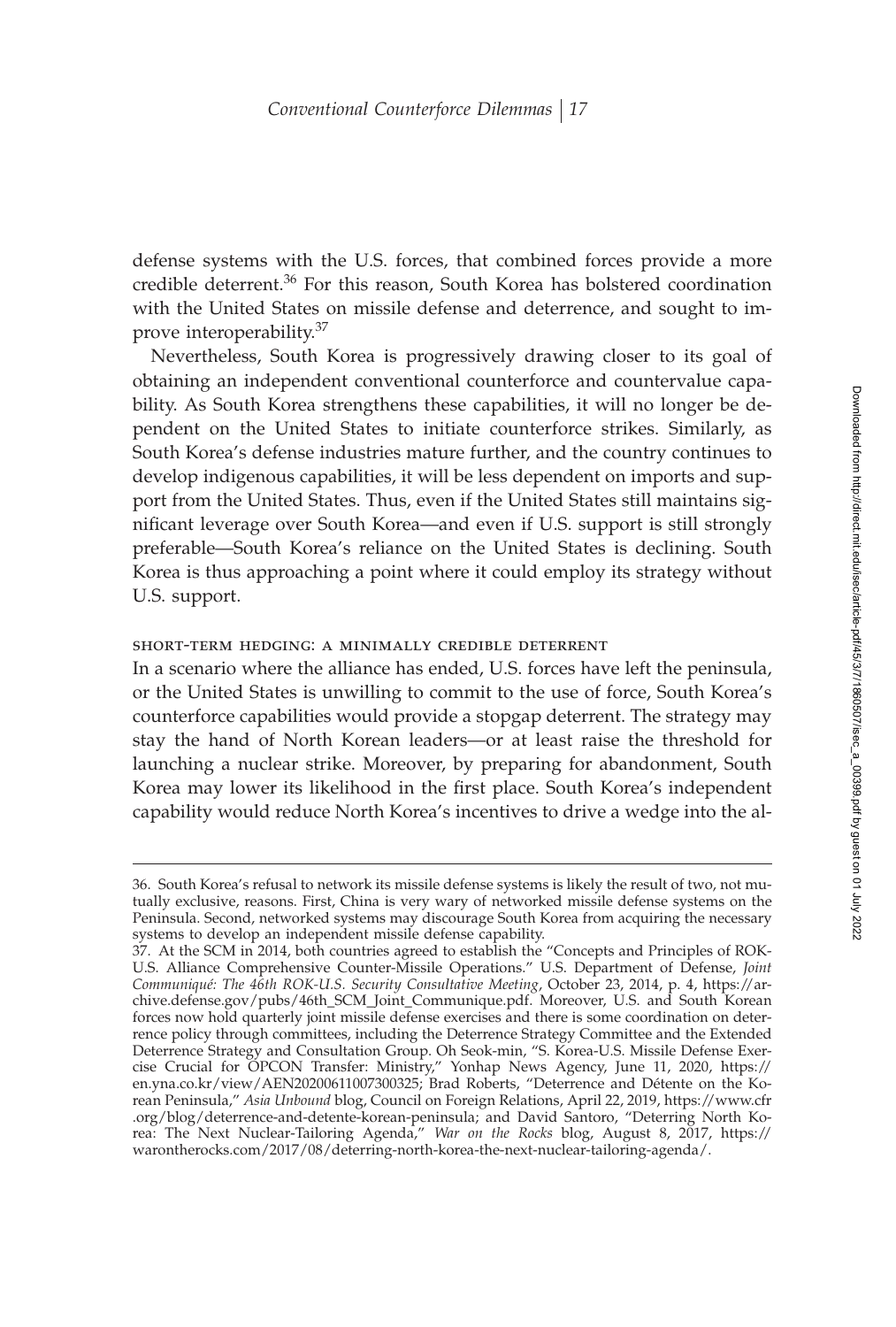defense systems with the U.S. forces, that combined forces provide a more credible deterrent.<sup>36</sup> For this reason, South Korea has bolstered coordination with the United States on missile defense and deterrence, and sought to improve interoperability.<sup>37</sup>

Nevertheless, South Korea is progressively drawing closer to its goal of obtaining an independent conventional counterforce and countervalue capability. As South Korea strengthens these capabilities, it will no longer be dependent on the United States to initiate counterforce strikes. Similarly, as South Korea's defense industries mature further, and the country continues to develop indigenous capabilities, it will be less dependent on imports and support from the United States. Thus, even if the United States still maintains significant leverage over South Korea—and even if U.S. support is still strongly preferable—South Korea's reliance on the United States is declining. South Korea is thus approaching a point where it could employ its strategy without U.S. support.

#### short-term hedging: a minimally credible deterrent

In a scenario where the alliance has ended, U.S. forces have left the peninsula, or the United States is unwilling to commit to the use of force, South Korea's counterforce capabilities would provide a stopgap deterrent. The strategy may stay the hand of North Korean leaders—or at least raise the threshold for launching a nuclear strike. Moreover, by preparing for abandonment, South Korea may lower its likelihood in the first place. South Korea's independent capability would reduce North Korea's incentives to drive a wedge into the al-

<sup>36.</sup> South Korea's refusal to network its missile defense systems is likely the result of two, not mutually exclusive, reasons. First, China is very wary of networked missile defense systems on the Peninsula. Second, networked systems may discourage South Korea from acquiring the necessary systems to develop an independent missile defense capability.

<sup>37.</sup> At the SCM in 2014, both countries agreed to establish the "Concepts and Principles of ROK-U.S. Alliance Comprehensive Counter-Missile Operations." U.S. Department of Defense, *Joint Communiqué: The 46th ROK-U.S. Security Consultative Meeting*, October 23, 2014, p. 4, https://archive.defense.gov/pubs/46th\_SCM\_Joint\_Communique.pdf. Moreover, U.S. and South Korean forces now hold quarterly joint missile defense exercises and there is some coordination on deterrence policy through committees, including the Deterrence Strategy Committee and the Extended Deterrence Strategy and Consultation Group. Oh Seok-min, "S. Korea-U.S. Missile Defense Exercise Crucial for OPCON Transfer: Ministry," Yonhap News Agency, June 11, 2020, https:// en.yna.co.kr/view/AEN20200611007300325; Brad Roberts, "Deterrence and Détente on the Korean Peninsula," *Asia Unbound* blog, Council on Foreign Relations, April 22, 2019, https://www.cfr .org/blog/deterrence-and-detente-korean-peninsula; and David Santoro, "Deterring North Korea: The Next Nuclear-Tailoring Agenda," *War on the Rocks* blog, August 8, 2017, https:// warontherocks.com/2017/08/deterring-north-korea-the-next-nuclear-tailoring-agenda/.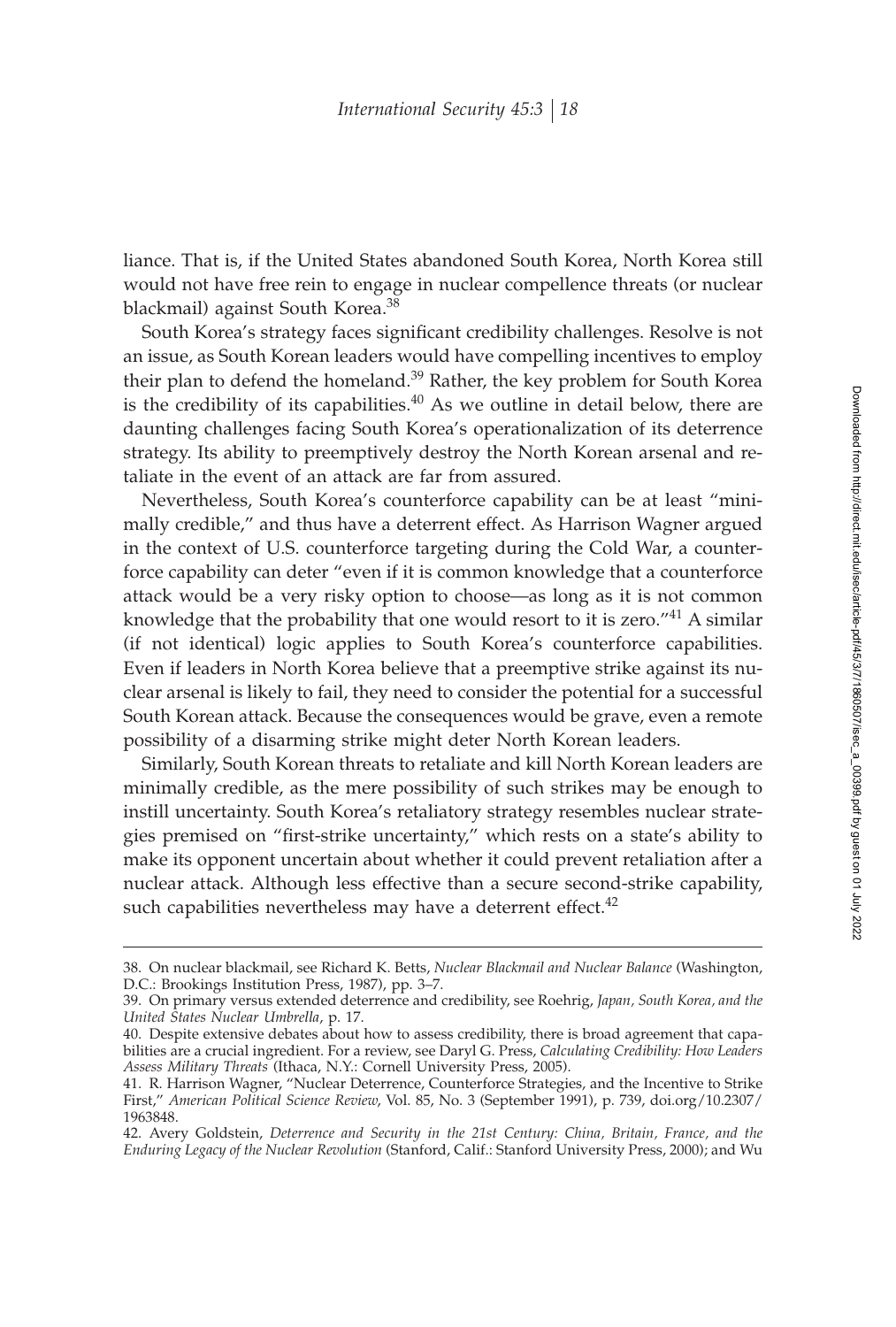liance. That is, if the United States abandoned South Korea, North Korea still would not have free rein to engage in nuclear compellence threats (or nuclear blackmail) against South Korea.<sup>38</sup>

South Korea's strategy faces significant credibility challenges. Resolve is not an issue, as South Korean leaders would have compelling incentives to employ their plan to defend the homeland.<sup>39</sup> Rather, the key problem for South Korea is the credibility of its capabilities.<sup>40</sup> As we outline in detail below, there are daunting challenges facing South Korea's operationalization of its deterrence strategy. Its ability to preemptively destroy the North Korean arsenal and retaliate in the event of an attack are far from assured.

Nevertheless, South Korea's counterforce capability can be at least "minimally credible," and thus have a deterrent effect. As Harrison Wagner argued in the context of U.S. counterforce targeting during the Cold War, a counterforce capability can deter "even if it is common knowledge that a counterforce attack would be a very risky option to choose—as long as it is not common knowledge that the probability that one would resort to it is zero."<sup>41</sup> A similar (if not identical) logic applies to South Korea's counterforce capabilities. Even if leaders in North Korea believe that a preemptive strike against its nuclear arsenal is likely to fail, they need to consider the potential for a successful South Korean attack. Because the consequences would be grave, even a remote possibility of a disarming strike might deter North Korean leaders.

Similarly, South Korean threats to retaliate and kill North Korean leaders are minimally credible, as the mere possibility of such strikes may be enough to instill uncertainty. South Korea's retaliatory strategy resembles nuclear strategies premised on "first-strike uncertainty," which rests on a state's ability to make its opponent uncertain about whether it could prevent retaliation after a nuclear attack. Although less effective than a secure second-strike capability, such capabilities nevertheless may have a deterrent effect. $42$ 

<sup>38.</sup> On nuclear blackmail, see Richard K. Betts, *Nuclear Blackmail and Nuclear Balance* (Washington, D.C.: Brookings Institution Press, 1987), pp. 3–7.

<sup>39.</sup> On primary versus extended deterrence and credibility, see Roehrig, *Japan, South Korea, and the United States Nuclear Umbrella*, p. 17.

<sup>40.</sup> Despite extensive debates about how to assess credibility, there is broad agreement that capabilities are a crucial ingredient. For a review, see Daryl G. Press, *Calculating Credibility: How Leaders Assess Military Threats* (Ithaca, N.Y.: Cornell University Press, 2005).

<sup>41.</sup> R. Harrison Wagner, "Nuclear Deterrence, Counterforce Strategies, and the Incentive to Strike First," *American Political Science Review*, Vol. 85, No. 3 (September 1991), p. 739, doi.org/10.2307/ 1963848.

<sup>42.</sup> Avery Goldstein, *Deterrence and Security in the 21st Century: China, Britain, France, and the Enduring Legacy of the Nuclear Revolution* (Stanford, Calif.: Stanford University Press, 2000); and Wu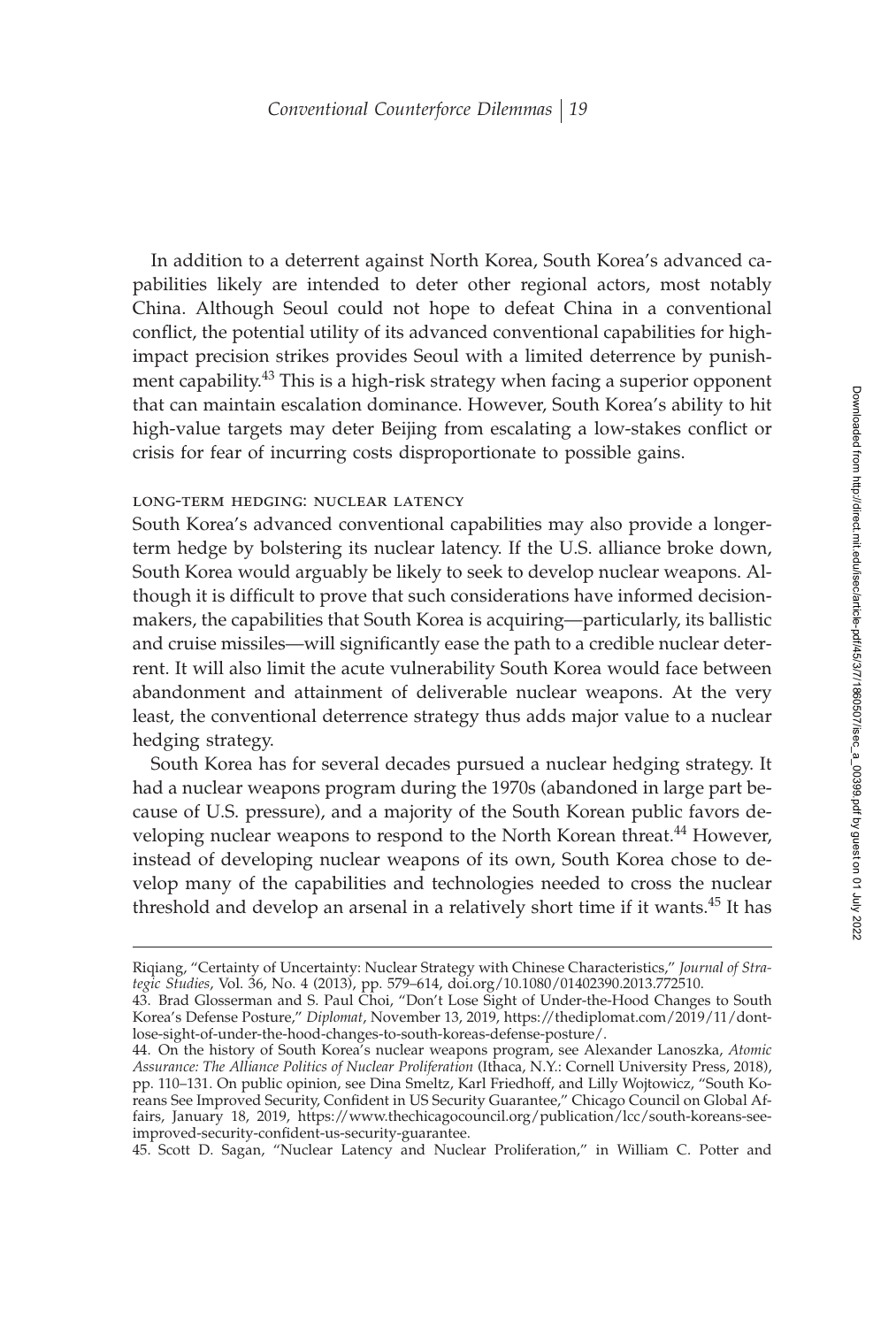In addition to a deterrent against North Korea, South Korea's advanced capabilities likely are intended to deter other regional actors, most notably China. Although Seoul could not hope to defeat China in a conventional conflict, the potential utility of its advanced conventional capabilities for highimpact precision strikes provides Seoul with a limited deterrence by punishment capability.<sup>43</sup> This is a high-risk strategy when facing a superior opponent that can maintain escalation dominance. However, South Korea's ability to hit high-value targets may deter Beijing from escalating a low-stakes conflict or crisis for fear of incurring costs disproportionate to possible gains.

### long-term hedging: nuclear latency

South Korea's advanced conventional capabilities may also provide a longerterm hedge by bolstering its nuclear latency. If the U.S. alliance broke down, South Korea would arguably be likely to seek to develop nuclear weapons. Although it is difficult to prove that such considerations have informed decisionmakers, the capabilities that South Korea is acquiring—particularly, its ballistic and cruise missiles—will significantly ease the path to a credible nuclear deterrent. It will also limit the acute vulnerability South Korea would face between abandonment and attainment of deliverable nuclear weapons. At the very least, the conventional deterrence strategy thus adds major value to a nuclear hedging strategy.

South Korea has for several decades pursued a nuclear hedging strategy. It had a nuclear weapons program during the 1970s (abandoned in large part because of U.S. pressure), and a majority of the South Korean public favors developing nuclear weapons to respond to the North Korean threat.<sup>44</sup> However, instead of developing nuclear weapons of its own, South Korea chose to develop many of the capabilities and technologies needed to cross the nuclear threshold and develop an arsenal in a relatively short time if it wants.<sup>45</sup> It has

45. Scott D. Sagan, "Nuclear Latency and Nuclear Proliferation," in William C. Potter and

Riqiang, "Certainty of Uncertainty: Nuclear Strategy with Chinese Characteristics," *Journal of Strategic Studies*, Vol. 36, No. 4 (2013), pp. 579–614, doi.org/10.1080/01402390.2013.772510.

<sup>43.</sup> Brad Glosserman and S. Paul Choi, "Don't Lose Sight of Under-the-Hood Changes to South Korea's Defense Posture," *Diplomat*, November 13, 2019, https://thediplomat.com/2019/11/dontlose-sight-of-under-the-hood-changes-to-south-koreas-defense-posture/.

<sup>44.</sup> On the history of South Korea's nuclear weapons program, see Alexander Lanoszka, *Atomic Assurance: The Alliance Politics of Nuclear Proliferation* (Ithaca, N.Y.: Cornell University Press, 2018), pp. 110–131. On public opinion, see Dina Smeltz, Karl Friedhoff, and Lilly Wojtowicz, "South Koreans See Improved Security, Confident in US Security Guarantee," Chicago Council on Global Affairs, January 18, 2019, https://www.thechicagocouncil.org/publication/lcc/south-koreans-seeimproved-security-confident-us-security-guarantee.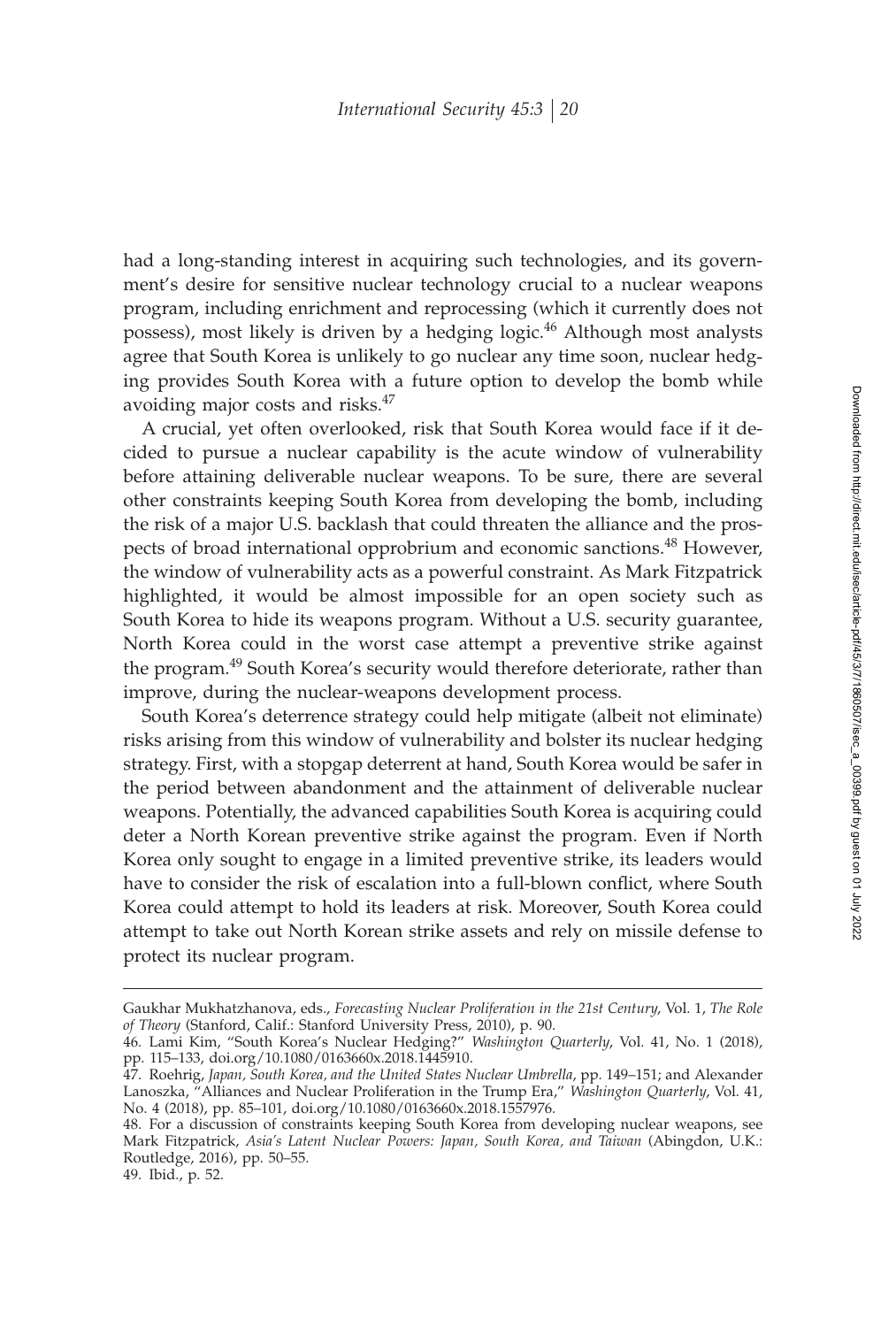had a long-standing interest in acquiring such technologies, and its government's desire for sensitive nuclear technology crucial to a nuclear weapons program, including enrichment and reprocessing (which it currently does not possess), most likely is driven by a hedging logic.<sup>46</sup> Although most analysts agree that South Korea is unlikely to go nuclear any time soon, nuclear hedging provides South Korea with a future option to develop the bomb while avoiding major costs and risks.<sup>47</sup>

A crucial, yet often overlooked, risk that South Korea would face if it decided to pursue a nuclear capability is the acute window of vulnerability before attaining deliverable nuclear weapons. To be sure, there are several other constraints keeping South Korea from developing the bomb, including the risk of a major U.S. backlash that could threaten the alliance and the prospects of broad international opprobrium and economic sanctions.<sup>48</sup> However, the window of vulnerability acts as a powerful constraint. As Mark Fitzpatrick highlighted, it would be almost impossible for an open society such as South Korea to hide its weapons program. Without a U.S. security guarantee, North Korea could in the worst case attempt a preventive strike against the program.<sup>49</sup> South Korea's security would therefore deteriorate, rather than improve, during the nuclear-weapons development process.

South Korea's deterrence strategy could help mitigate (albeit not eliminate) risks arising from this window of vulnerability and bolster its nuclear hedging strategy. First, with a stopgap deterrent at hand, South Korea would be safer in the period between abandonment and the attainment of deliverable nuclear weapons. Potentially, the advanced capabilities South Korea is acquiring could deter a North Korean preventive strike against the program. Even if North Korea only sought to engage in a limited preventive strike, its leaders would have to consider the risk of escalation into a full-blown conflict, where South Korea could attempt to hold its leaders at risk. Moreover, South Korea could attempt to take out North Korean strike assets and rely on missile defense to protect its nuclear program.

49. Ibid., p. 52.

Gaukhar Mukhatzhanova, eds., *Forecasting Nuclear Proliferation in the 21st Century*, Vol. 1, *The Role of Theory* (Stanford, Calif.: Stanford University Press, 2010), p. 90.

<sup>46.</sup> Lami Kim, "South Korea's Nuclear Hedging?" *Washington Quarterly*, Vol. 41, No. 1 (2018), pp. 115–133, doi.org/10.1080/0163660x.2018.1445910.

<sup>47.</sup> Roehrig, *Japan, South Korea, and the United States Nuclear Umbrella*, pp. 149–151; and Alexander Lanoszka, "Alliances and Nuclear Proliferation in the Trump Era," *Washington Quarterly*, Vol. 41, No. 4 (2018), pp. 85–101, doi.org/10.1080/0163660x.2018.1557976.

<sup>48.</sup> For a discussion of constraints keeping South Korea from developing nuclear weapons, see Mark Fitzpatrick, *Asia's Latent Nuclear Powers: Japan, South Korea, and Taiwan* (Abingdon, U.K.: Routledge, 2016), pp. 50–55.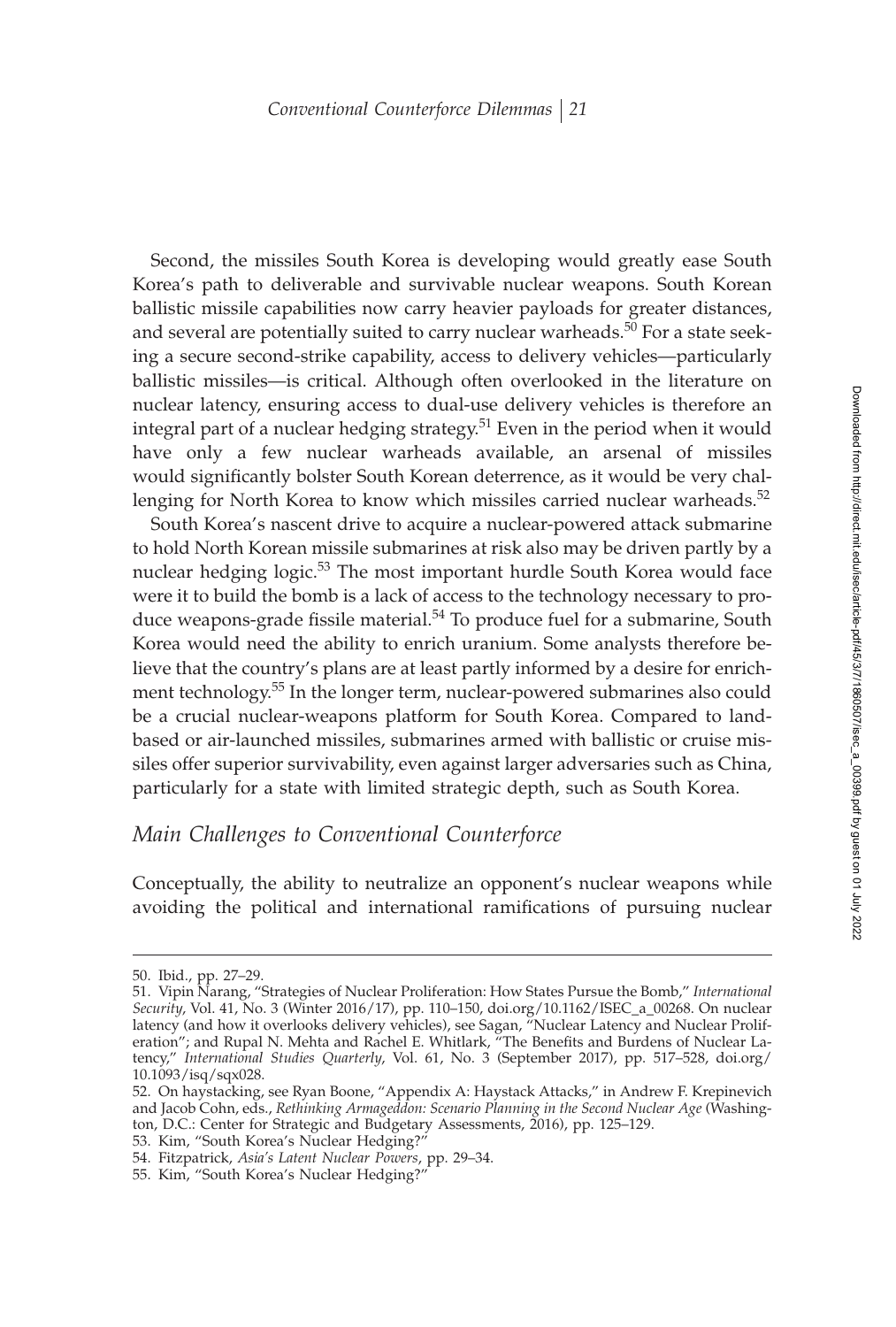Second, the missiles South Korea is developing would greatly ease South Korea's path to deliverable and survivable nuclear weapons. South Korean ballistic missile capabilities now carry heavier payloads for greater distances, and several are potentially suited to carry nuclear warheads.<sup>50</sup> For a state seeking a secure second-strike capability, access to delivery vehicles—particularly ballistic missiles—is critical. Although often overlooked in the literature on nuclear latency, ensuring access to dual-use delivery vehicles is therefore an integral part of a nuclear hedging strategy.<sup>51</sup> Even in the period when it would have only a few nuclear warheads available, an arsenal of missiles would significantly bolster South Korean deterrence, as it would be very challenging for North Korea to know which missiles carried nuclear warheads.<sup>52</sup>

South Korea's nascent drive to acquire a nuclear-powered attack submarine to hold North Korean missile submarines at risk also may be driven partly by a nuclear hedging logic.<sup>53</sup> The most important hurdle South Korea would face were it to build the bomb is a lack of access to the technology necessary to produce weapons-grade fissile material. $54$  To produce fuel for a submarine, South Korea would need the ability to enrich uranium. Some analysts therefore believe that the country's plans are at least partly informed by a desire for enrichment technology.<sup>55</sup> In the longer term, nuclear-powered submarines also could be a crucial nuclear-weapons platform for South Korea. Compared to landbased or air-launched missiles, submarines armed with ballistic or cruise missiles offer superior survivability, even against larger adversaries such as China, particularly for a state with limited strategic depth, such as South Korea.

## *Main Challenges to Conventional Counterforce*

Conceptually, the ability to neutralize an opponent's nuclear weapons while avoiding the political and international ramifications of pursuing nuclear

55. Kim, "South Korea's Nuclear Hedging?

<sup>50.</sup> Ibid., pp. 27–29.

<sup>51.</sup> Vipin Narang, "Strategies of Nuclear Proliferation: How States Pursue the Bomb," *International Security*, Vol. 41, No. 3 (Winter 2016/17), pp. 110–150, doi.org/10.1162/ISEC\_a\_00268. On nuclear latency (and how it overlooks delivery vehicles), see Sagan, "Nuclear Latency and Nuclear Proliferation"; and Rupal N. Mehta and Rachel E. Whitlark, "The Benefits and Burdens of Nuclear Latency," *International Studies Quarterly*, Vol. 61, No. 3 (September 2017), pp. 517–528, doi.org/ 10.1093/isq/sqx028.

<sup>52.</sup> On haystacking, see Ryan Boone, "Appendix A: Haystack Attacks," in Andrew F. Krepinevich and Jacob Cohn, eds., *Rethinking Armageddon: Scenario Planning in the Second Nuclear Age* (Washington, D.C.: Center for Strategic and Budgetary Assessments, 2016), pp. 125–129.

<sup>53.</sup> Kim, "South Korea's Nuclear Hedging?"

<sup>54.</sup> Fitzpatrick, *Asia's Latent Nuclear Powers*, pp. 29–34.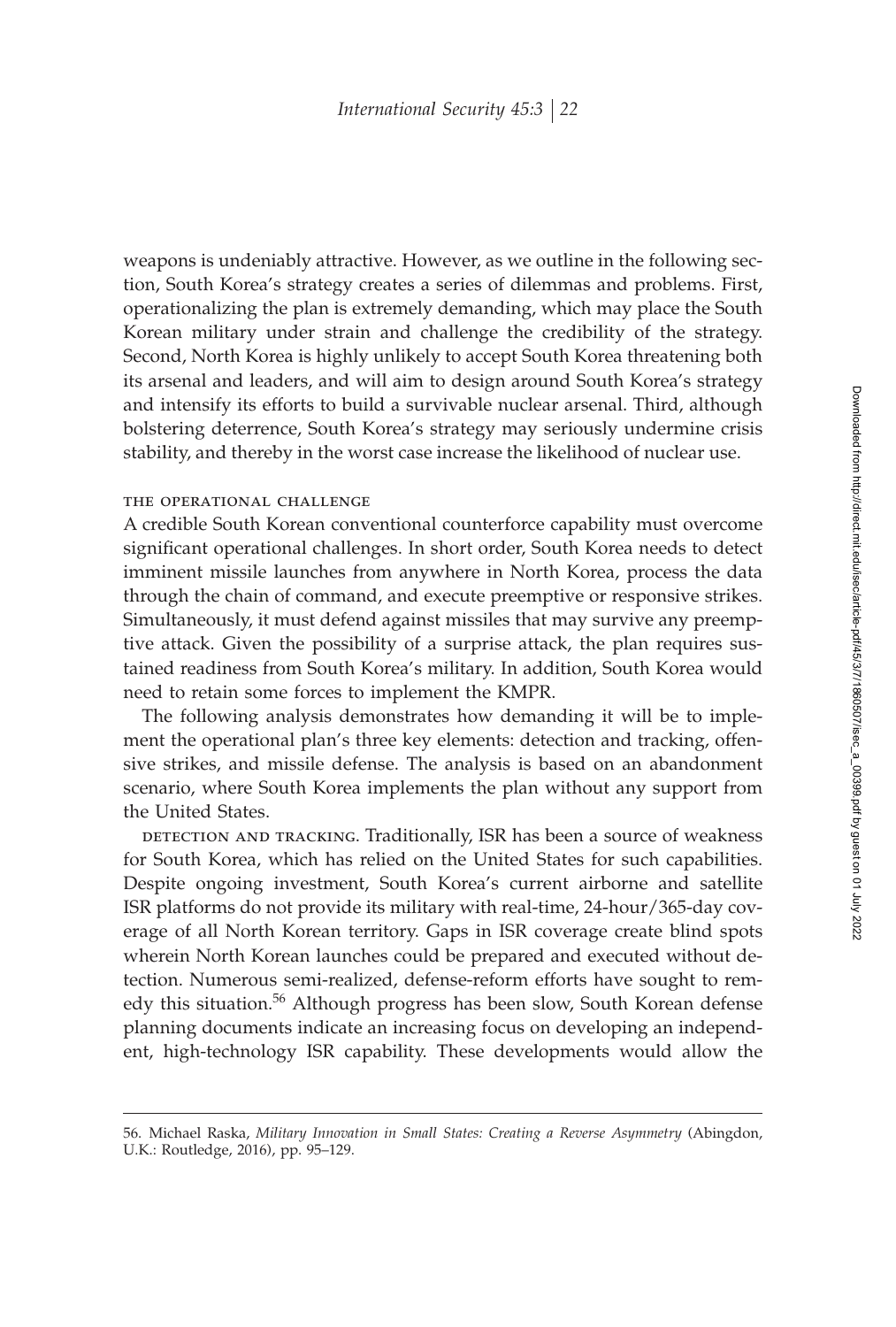weapons is undeniably attractive. However, as we outline in the following section, South Korea's strategy creates a series of dilemmas and problems. First, operationalizing the plan is extremely demanding, which may place the South Korean military under strain and challenge the credibility of the strategy. Second, North Korea is highly unlikely to accept South Korea threatening both its arsenal and leaders, and will aim to design around South Korea's strategy and intensify its efforts to build a survivable nuclear arsenal. Third, although bolstering deterrence, South Korea's strategy may seriously undermine crisis stability, and thereby in the worst case increase the likelihood of nuclear use.

## the operational challenge

A credible South Korean conventional counterforce capability must overcome significant operational challenges. In short order, South Korea needs to detect imminent missile launches from anywhere in North Korea, process the data through the chain of command, and execute preemptive or responsive strikes. Simultaneously, it must defend against missiles that may survive any preemptive attack. Given the possibility of a surprise attack, the plan requires sustained readiness from South Korea's military. In addition, South Korea would need to retain some forces to implement the KMPR.

The following analysis demonstrates how demanding it will be to implement the operational plan's three key elements: detection and tracking, offensive strikes, and missile defense. The analysis is based on an abandonment scenario, where South Korea implements the plan without any support from the United States.

DETECTION AND TRACKING. Traditionally, ISR has been a source of weakness for South Korea, which has relied on the United States for such capabilities. Despite ongoing investment, South Korea's current airborne and satellite ISR platforms do not provide its military with real-time, 24-hour/365-day coverage of all North Korean territory. Gaps in ISR coverage create blind spots wherein North Korean launches could be prepared and executed without detection. Numerous semi-realized, defense-reform efforts have sought to remedy this situation.<sup>56</sup> Although progress has been slow, South Korean defense planning documents indicate an increasing focus on developing an independent, high-technology ISR capability. These developments would allow the

<sup>56.</sup> Michael Raska, *Military Innovation in Small States: Creating a Reverse Asymmetry* (Abingdon, U.K.: Routledge, 2016), pp. 95–129.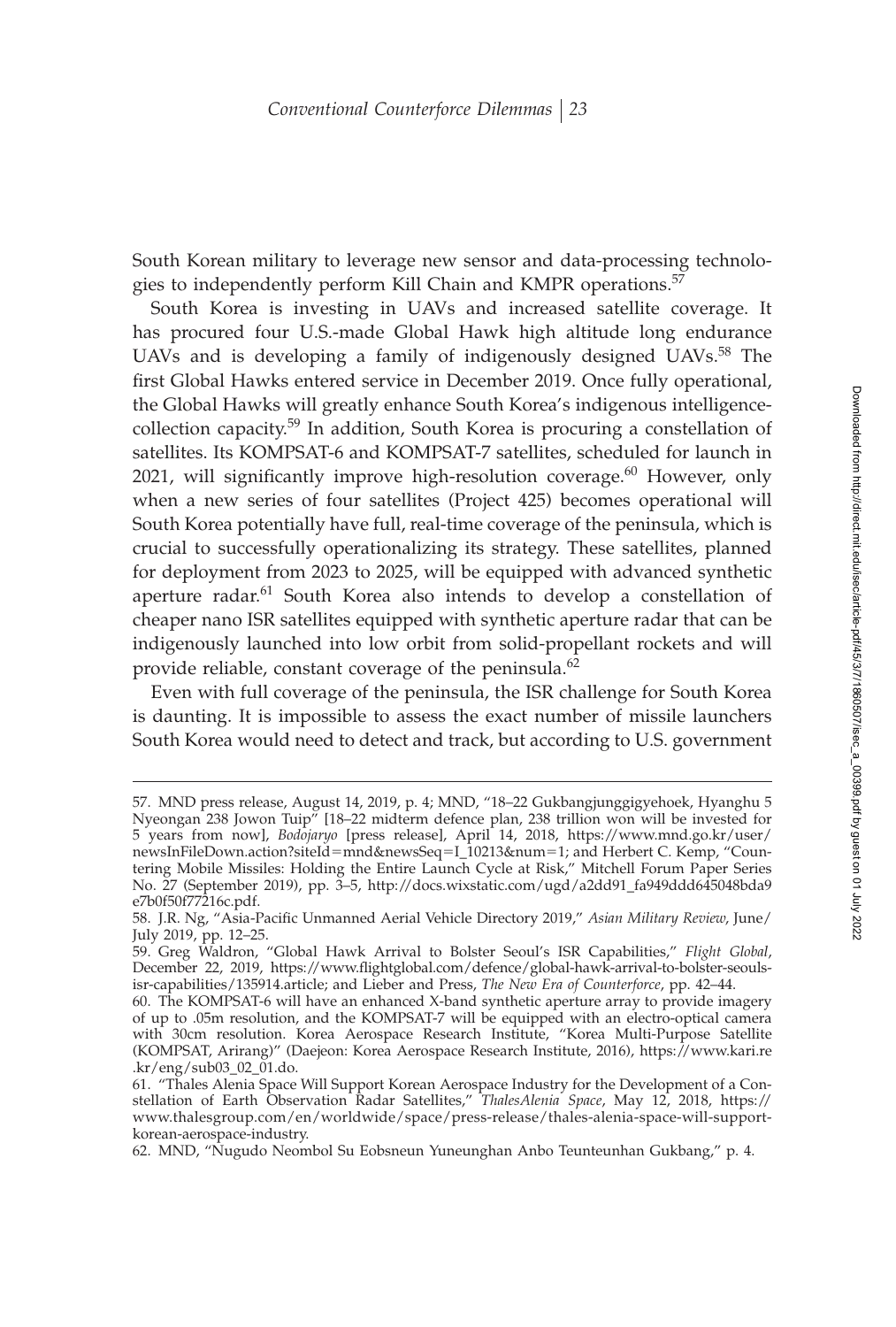South Korean military to leverage new sensor and data-processing technologies to independently perform Kill Chain and KMPR operations.<sup>57</sup>

South Korea is investing in UAVs and increased satellite coverage. It has procured four U.S.-made Global Hawk high altitude long endurance UAVs and is developing a family of indigenously designed UAVs.<sup>58</sup> The first Global Hawks entered service in December 2019. Once fully operational, the Global Hawks will greatly enhance South Korea's indigenous intelligencecollection capacity.<sup>59</sup> In addition, South Korea is procuring a constellation of satellites. Its KOMPSAT-6 and KOMPSAT-7 satellites, scheduled for launch in 2021, will significantly improve high-resolution coverage. $60$  However, only when a new series of four satellites (Project 425) becomes operational will South Korea potentially have full, real-time coverage of the peninsula, which is crucial to successfully operationalizing its strategy. These satellites, planned for deployment from 2023 to 2025, will be equipped with advanced synthetic aperture radar.<sup>61</sup> South Korea also intends to develop a constellation of cheaper nano ISR satellites equipped with synthetic aperture radar that can be indigenously launched into low orbit from solid-propellant rockets and will provide reliable, constant coverage of the peninsula.<sup>62</sup>

Even with full coverage of the peninsula, the ISR challenge for South Korea is daunting. It is impossible to assess the exact number of missile launchers South Korea would need to detect and track, but according to U.S. government

<sup>57.</sup> MND press release, August 14, 2019, p. 4; MND, "18–22 Gukbangjunggigyehoek, Hyanghu 5 Nyeongan 238 Jowon Tuip" [18–22 midterm defence plan, 238 trillion won will be invested for 5 years from now], *Bodojaryo* [press release], April 14, 2018, https://www.mnd.go.kr/user/ newsInFileDown.action?siteId=mnd&newsSeq=I\_10213&num=1; and Herbert C. Kemp, "Countering Mobile Missiles: Holding the Entire Launch Cycle at Risk," Mitchell Forum Paper Series No. 27 (September 2019), pp. 3–5, http://docs.wixstatic.com/ugd/a2dd91\_fa949ddd645048bda9 e7b0f50f77216c.pdf.

<sup>58.</sup> J.R. Ng, "Asia-Pacific Unmanned Aerial Vehicle Directory 2019," Asian Military Review, June/ July 2019, pp. 12–25.

<sup>59.</sup> Greg Waldron, "Global Hawk Arrival to Bolster Seoul's ISR Capabilities," *Flight Global*, December 22, 2019, https://www.flightglobal.com/defence/global-hawk-arrival-to-bolster-seoulsisr-capabilities/135914.article; and Lieber and Press, *The New Era of Counterforce*, pp. 42–44.

<sup>60.</sup> The KOMPSAT-6 will have an enhanced X-band synthetic aperture array to provide imagery of up to .05m resolution, and the KOMPSAT-7 will be equipped with an electro-optical camera with 30cm resolution. Korea Aerospace Research Institute, "Korea Multi-Purpose Satellite (KOMPSAT, Arirang)" (Daejeon: Korea Aerospace Research Institute, 2016), https://www.kari.re .kr/eng/sub03\_02\_01.do.

<sup>61. &</sup>quot;Thales Alenia Space Will Support Korean Aerospace Industry for the Development of a Constellation of Earth Observation Radar Satellites," *ThalesAlenia Space*, May 12, 2018, https:// www.thalesgroup.com/en/worldwide/space/press-release/thales-alenia-space-will-supportkorean-aerospace-industry.

<sup>62.</sup> MND, "Nugudo Neombol Su Eobsneun Yuneunghan Anbo Teunteunhan Gukbang," p. 4.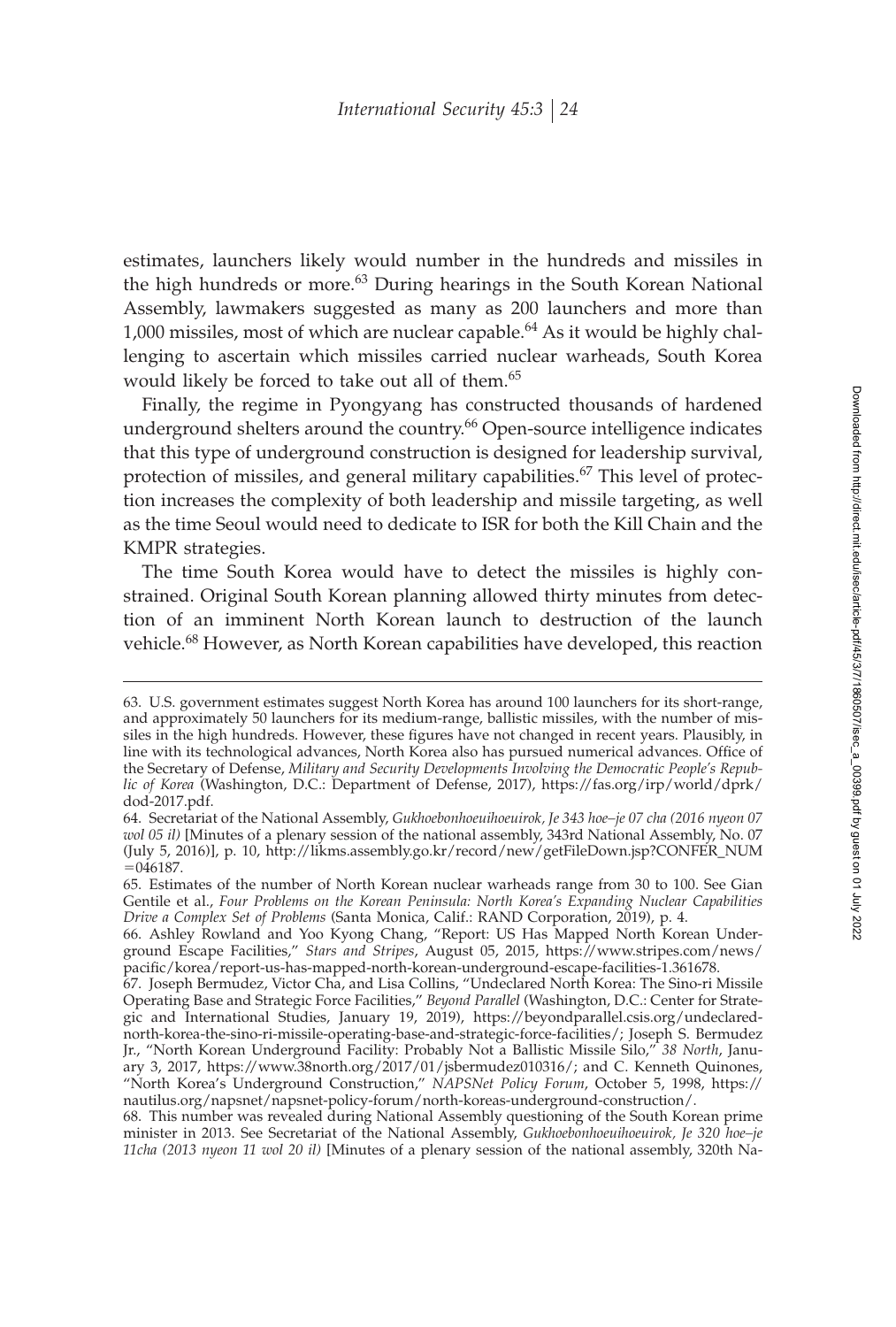estimates, launchers likely would number in the hundreds and missiles in the high hundreds or more.<sup>63</sup> During hearings in the South Korean National Assembly, lawmakers suggested as many as 200 launchers and more than 1,000 missiles, most of which are nuclear capable.<sup>64</sup> As it would be highly challenging to ascertain which missiles carried nuclear warheads, South Korea would likely be forced to take out all of them.<sup>65</sup>

Finally, the regime in Pyongyang has constructed thousands of hardened underground shelters around the country.<sup>66</sup> Open-source intelligence indicates that this type of underground construction is designed for leadership survival, protection of missiles, and general military capabilities.<sup>67</sup> This level of protection increases the complexity of both leadership and missile targeting, as well as the time Seoul would need to dedicate to ISR for both the Kill Chain and the KMPR strategies.

The time South Korea would have to detect the missiles is highly constrained. Original South Korean planning allowed thirty minutes from detection of an imminent North Korean launch to destruction of the launch vehicle.<sup>68</sup> However, as North Korean capabilities have developed, this reaction

<sup>63.</sup> U.S. government estimates suggest North Korea has around 100 launchers for its short-range, and approximately 50 launchers for its medium-range, ballistic missiles, with the number of missiles in the high hundreds. However, these figures have not changed in recent years. Plausibly, in line with its technological advances, North Korea also has pursued numerical advances. Office of the Secretary of Defense, *Military and Security Developments Involving the Democratic People's Republic of Korea* (Washington, D.C.: Department of Defense, 2017), https://fas.org/irp/world/dprk/ dod-2017.pdf.

<sup>64.</sup> Secretariat of the National Assembly, *Gukhoebonhoeuihoeuirok, Je 343 hoe–je 07 cha (2016 nyeon 07 wol 05 il)* [Minutes of a plenary session of the national assembly, 343rd National Assembly, No. 07 (July 5, 2016)], p. 10, http://likms.assembly.go.kr/record/new/getFileDown.jsp?CONFER\_NUM  $= 046187.$ 

<sup>65.</sup> Estimates of the number of North Korean nuclear warheads range from 30 to 100. See Gian Gentile et al., *Four Problems on the Korean Peninsula: North Korea's Expanding Nuclear Capabilities Drive a Complex Set of Problems* (Santa Monica, Calif.: RAND Corporation, 2019), p. 4.

<sup>66.</sup> Ashley Rowland and Yoo Kyong Chang, "Report: US Has Mapped North Korean Underground Escape Facilities," *Stars and Stripes*, August 05, 2015, https://www.stripes.com/news/ pacific/korea/report-us-has-mapped-north-korean-underground-escape-facilities-1.361678.

<sup>67.</sup> Joseph Bermudez, Victor Cha, and Lisa Collins, "Undeclared North Korea: The Sino-ri Missile Operating Base and Strategic Force Facilities," *Beyond Parallel* (Washington, D.C.: Center for Strategic and International Studies, January 19, 2019), https://beyondparallel.csis.org/undeclarednorth-korea-the-sino-ri-missile-operating-base-and-strategic-force-facilities/; Joseph S. Bermudez Jr., "North Korean Underground Facility: Probably Not a Ballistic Missile Silo," *38 North*, January 3, 2017, https://www.38north.org/2017/01/jsbermudez010316/; and C. Kenneth Quinones, "North Korea's Underground Construction," *NAPSNet Policy Forum*, October 5, 1998, https:// nautilus.org/napsnet/napsnet-policy-forum/north-koreas-underground-construction/.

<sup>68.</sup> This number was revealed during National Assembly questioning of the South Korean prime minister in 2013. See Secretariat of the National Assembly, *Gukhoebonhoeuihoeuirok, Je 320 hoe–je 11cha (2013 nyeon 11 wol 20 il)* [Minutes of a plenary session of the national assembly, 320th Na-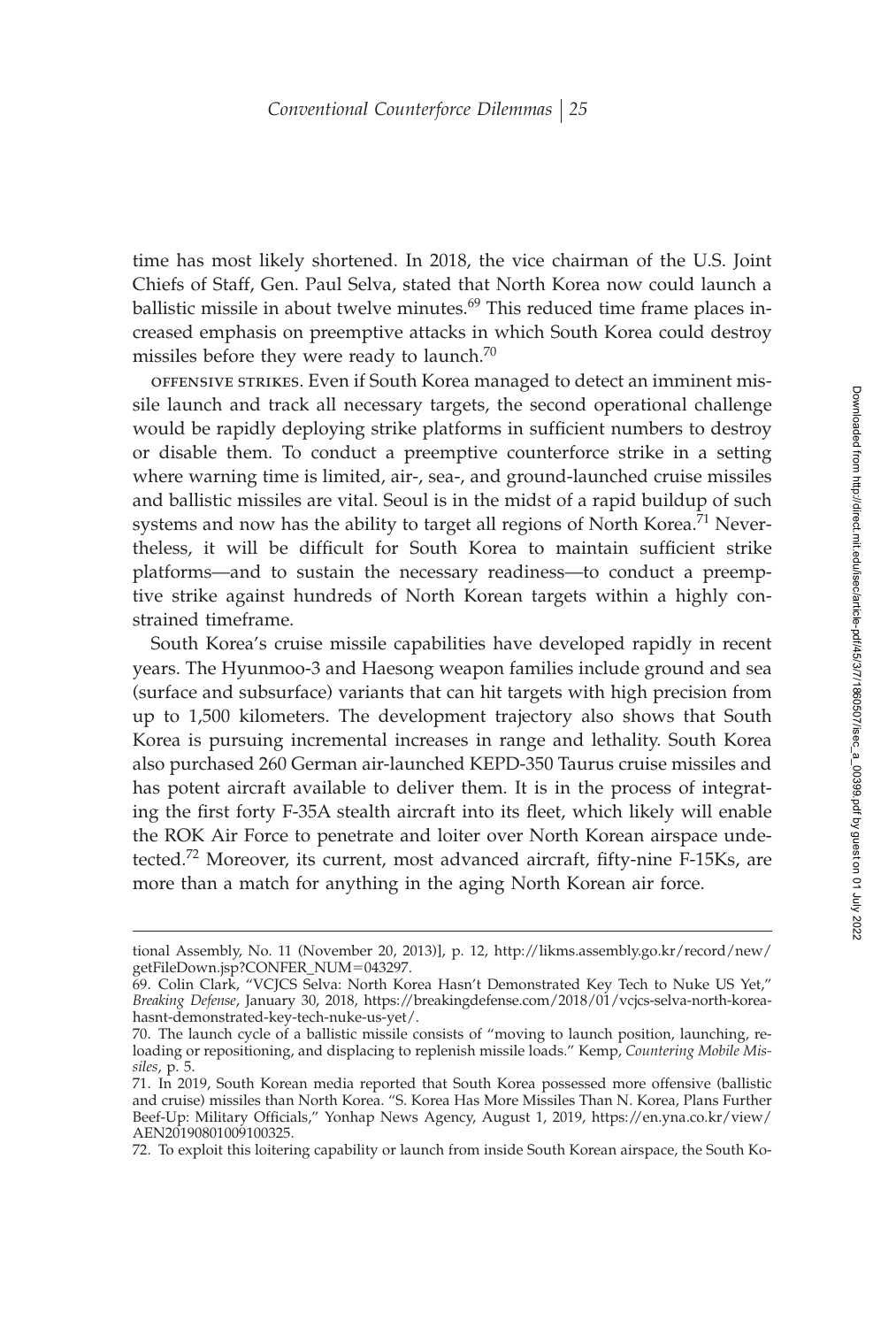time has most likely shortened. In 2018, the vice chairman of the U.S. Joint Chiefs of Staff, Gen. Paul Selva, stated that North Korea now could launch a ballistic missile in about twelve minutes.<sup>69</sup> This reduced time frame places increased emphasis on preemptive attacks in which South Korea could destroy missiles before they were ready to launch. $70$ 

offensive strikes. Even if South Korea managed to detect an imminent missile launch and track all necessary targets, the second operational challenge would be rapidly deploying strike platforms in sufficient numbers to destroy or disable them. To conduct a preemptive counterforce strike in a setting where warning time is limited, air-, sea-, and ground-launched cruise missiles and ballistic missiles are vital. Seoul is in the midst of a rapid buildup of such systems and now has the ability to target all regions of North Korea.<sup>71</sup> Nevertheless, it will be difficult for South Korea to maintain sufficient strike platforms—and to sustain the necessary readiness—to conduct a preemptive strike against hundreds of North Korean targets within a highly constrained timeframe.

South Korea's cruise missile capabilities have developed rapidly in recent years. The Hyunmoo-3 and Haesong weapon families include ground and sea (surface and subsurface) variants that can hit targets with high precision from up to 1,500 kilometers. The development trajectory also shows that South Korea is pursuing incremental increases in range and lethality. South Korea also purchased 260 German air-launched KEPD-350 Taurus cruise missiles and has potent aircraft available to deliver them. It is in the process of integrating the first forty F-35A stealth aircraft into its fleet, which likely will enable the ROK Air Force to penetrate and loiter over North Korean airspace undetected.<sup>72</sup> Moreover, its current, most advanced aircraft, fifty-nine F-15Ks, are more than a match for anything in the aging North Korean air force.

72. To exploit this loitering capability or launch from inside South Korean airspace, the South Ko-

tional Assembly, No. 11 (November 20, 2013)], p. 12, http://likms.assembly.go.kr/record/new/ getFileDown.jsp?CONFER\_NUM-043297.

<sup>69.</sup> Colin Clark, "VCJCS Selva: North Korea Hasn't Demonstrated Key Tech to Nuke US Yet," *Breaking Defense*, January 30, 2018, https://breakingdefense.com/2018/01/vcjcs-selva-north-koreahasnt-demonstrated-key-tech-nuke-us-yet/.

<sup>70.</sup> The launch cycle of a ballistic missile consists of "moving to launch position, launching, reloading or repositioning, and displacing to replenish missile loads." Kemp, *Countering Mobile Missiles*, p. 5.

<sup>71.</sup> In 2019, South Korean media reported that South Korea possessed more offensive (ballistic and cruise) missiles than North Korea. "S. Korea Has More Missiles Than N. Korea, Plans Further Beef-Up: Military Officials," Yonhap News Agency, August 1, 2019, https://en.yna.co.kr/view/ AEN20190801009100325.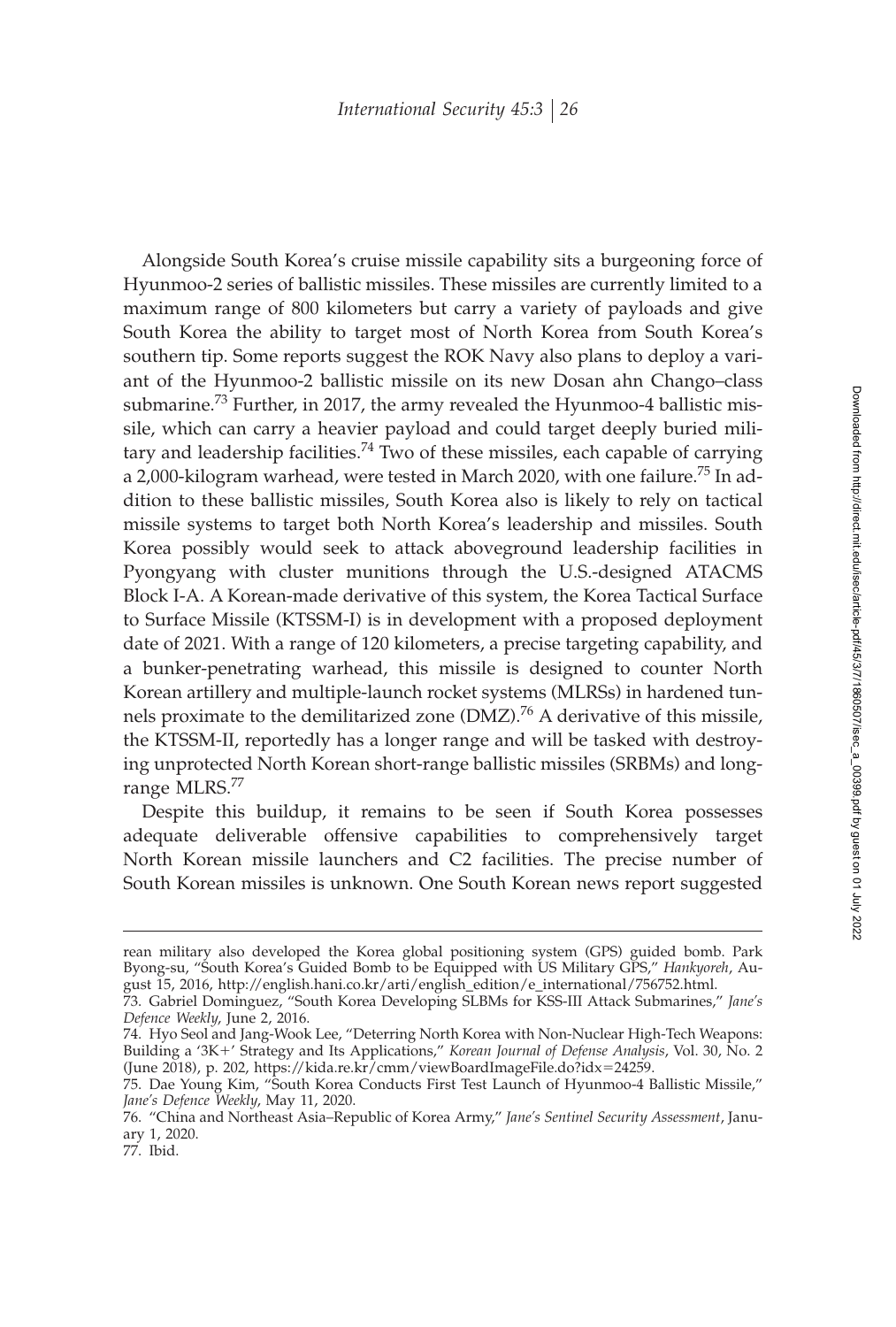Alongside South Korea's cruise missile capability sits a burgeoning force of Hyunmoo-2 series of ballistic missiles. These missiles are currently limited to a maximum range of 800 kilometers but carry a variety of payloads and give South Korea the ability to target most of North Korea from South Korea's southern tip. Some reports suggest the ROK Navy also plans to deploy a variant of the Hyunmoo-2 ballistic missile on its new Dosan ahn Chango–class submarine.<sup>73</sup> Further, in 2017, the army revealed the Hyunmoo-4 ballistic missile, which can carry a heavier payload and could target deeply buried military and leadership facilities.<sup>74</sup> Two of these missiles, each capable of carrying a 2,000-kilogram warhead, were tested in March 2020, with one failure.<sup>75</sup> In addition to these ballistic missiles, South Korea also is likely to rely on tactical missile systems to target both North Korea's leadership and missiles. South Korea possibly would seek to attack aboveground leadership facilities in Pyongyang with cluster munitions through the U.S.-designed ATACMS Block I-A. A Korean-made derivative of this system, the Korea Tactical Surface to Surface Missile (KTSSM-I) is in development with a proposed deployment date of 2021. With a range of 120 kilometers, a precise targeting capability, and a bunker-penetrating warhead, this missile is designed to counter North Korean artillery and multiple-launch rocket systems (MLRSs) in hardened tunnels proximate to the demilitarized zone  $(DMZ)$ <sup>76</sup> A derivative of this missile, the KTSSM-II, reportedly has a longer range and will be tasked with destroying unprotected North Korean short-range ballistic missiles (SRBMs) and longrange MLRS.<sup>77</sup>

Despite this buildup, it remains to be seen if South Korea possesses adequate deliverable offensive capabilities to comprehensively target North Korean missile launchers and C2 facilities. The precise number of South Korean missiles is unknown. One South Korean news report suggested

rean military also developed the Korea global positioning system (GPS) guided bomb. Park Byong-su, "South Korea's Guided Bomb to be Equipped with US Military GPS," *Hankyoreh*, August 15, 2016, http://english.hani.co.kr/arti/english\_edition/e\_international/756752.html.

<sup>73.</sup> Gabriel Dominguez, "South Korea Developing SLBMs for KSS-III Attack Submarines," *Jane's Defence Weekly*, June 2, 2016.

<sup>74.</sup> Hyo Seol and Jang-Wook Lee, "Deterring North Korea with Non-Nuclear High-Tech Weapons: Building a '3K+' Strategy and Its Applications," *Korean Journal of Defense Analysis*, Vol. 30, No. 2 (June 2018), p. 202, https://kida.re.kr/cmm/viewBoardImageFile.do?idx-24259.

<sup>75.</sup> Dae Young Kim, "South Korea Conducts First Test Launch of Hyunmoo-4 Ballistic Missile," *Jane's Defence Weekly*, May 11, 2020.

<sup>76. &</sup>quot;China and Northeast Asia–Republic of Korea Army," *Jane's Sentinel Security Assessment*, January 1, 2020.

<sup>77.</sup> Ibid.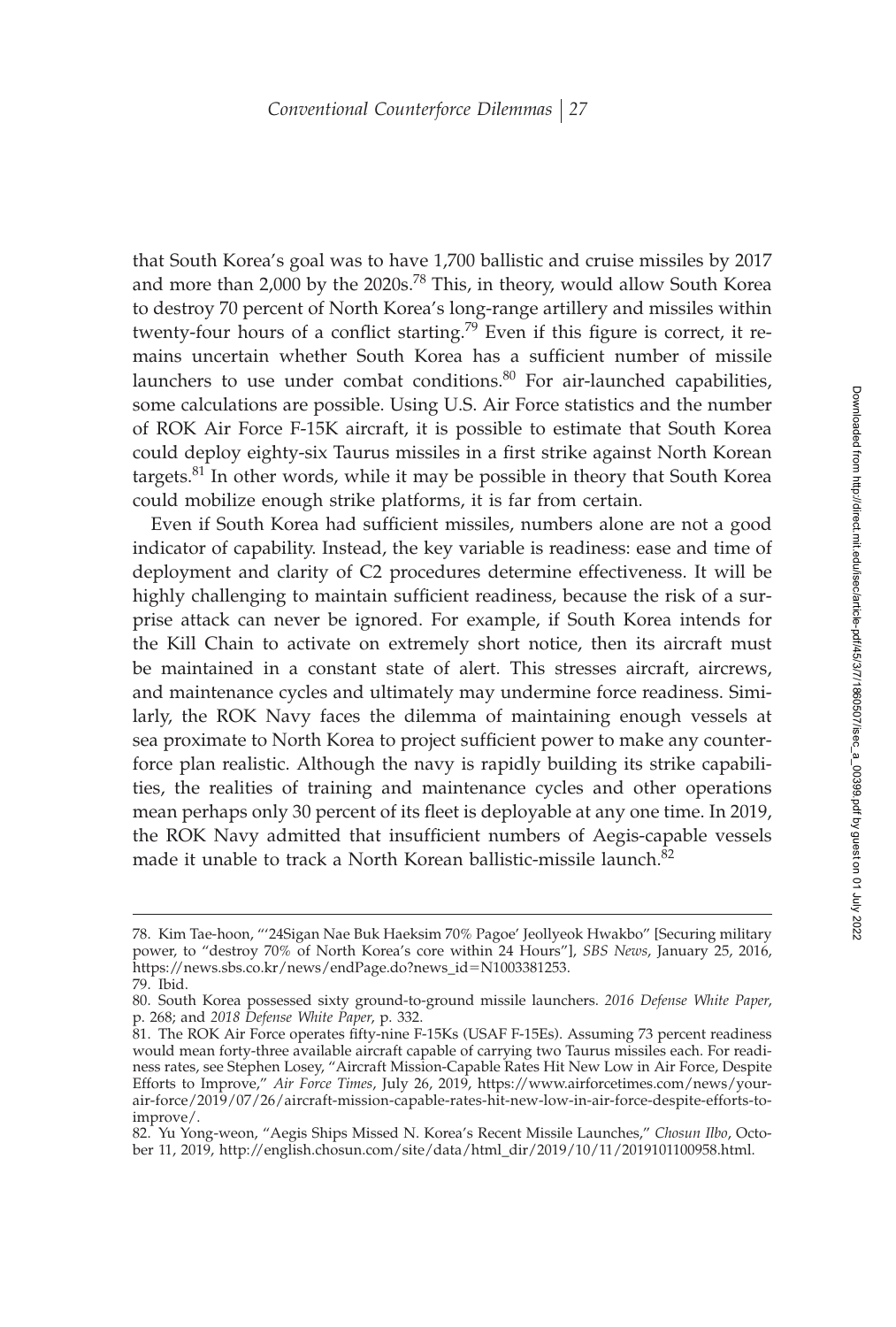that South Korea's goal was to have 1,700 ballistic and cruise missiles by 2017 and more than 2,000 by the 2020s.<sup>78</sup> This, in theory, would allow South Korea to destroy 70 percent of North Korea's long-range artillery and missiles within twenty-four hours of a conflict starting.<sup>79</sup> Even if this figure is correct, it remains uncertain whether South Korea has a sufficient number of missile launchers to use under combat conditions.<sup>80</sup> For air-launched capabilities, some calculations are possible. Using U.S. Air Force statistics and the number of ROK Air Force F-15K aircraft, it is possible to estimate that South Korea could deploy eighty-six Taurus missiles in a first strike against North Korean targets.<sup>81</sup> In other words, while it may be possible in theory that South Korea could mobilize enough strike platforms, it is far from certain.

Even if South Korea had sufficient missiles, numbers alone are not a good indicator of capability. Instead, the key variable is readiness: ease and time of deployment and clarity of C2 procedures determine effectiveness. It will be highly challenging to maintain sufficient readiness, because the risk of a surprise attack can never be ignored. For example, if South Korea intends for the Kill Chain to activate on extremely short notice, then its aircraft must be maintained in a constant state of alert. This stresses aircraft, aircrews, and maintenance cycles and ultimately may undermine force readiness. Similarly, the ROK Navy faces the dilemma of maintaining enough vessels at sea proximate to North Korea to project sufficient power to make any counterforce plan realistic. Although the navy is rapidly building its strike capabilities, the realities of training and maintenance cycles and other operations mean perhaps only 30 percent of its fleet is deployable at any one time. In 2019, the ROK Navy admitted that insufficient numbers of Aegis-capable vessels made it unable to track a North Korean ballistic-missile launch.<sup>82</sup>

<sup>78.</sup> Kim Tae-hoon, "'24Sigan Nae Buk Haeksim 70% Pagoe' Jeollyeok Hwakbo" [Securing military power, to "destroy 70% of North Korea's core within 24 Hours"], *SBS News*, January 25, 2016, https://news.sbs.co.kr/news/endPage.do?news\_id-N1003381253. 79. Ibid.

<sup>80.</sup> South Korea possessed sixty ground-to-ground missile launchers. *2016 Defense White Paper*, p. 268; and *2018 Defense White Paper*, p. 332.

<sup>81.</sup> The ROK Air Force operates fifty-nine F-15Ks (USAF F-15Es). Assuming 73 percent readiness would mean forty-three available aircraft capable of carrying two Taurus missiles each. For readiness rates, see Stephen Losey, "Aircraft Mission-Capable Rates Hit New Low in Air Force, Despite Efforts to Improve," *Air Force Times*, July 26, 2019, https://www.airforcetimes.com/news/yourair-force/2019/07/26/aircraft-mission-capable-rates-hit-new-low-in-air-force-despite-efforts-toimprove/.

<sup>82.</sup> Yu Yong-weon, "Aegis Ships Missed N. Korea's Recent Missile Launches," *Chosun Ilbo*, October 11, 2019, http://english.chosun.com/site/data/html\_dir/2019/10/11/2019101100958.html.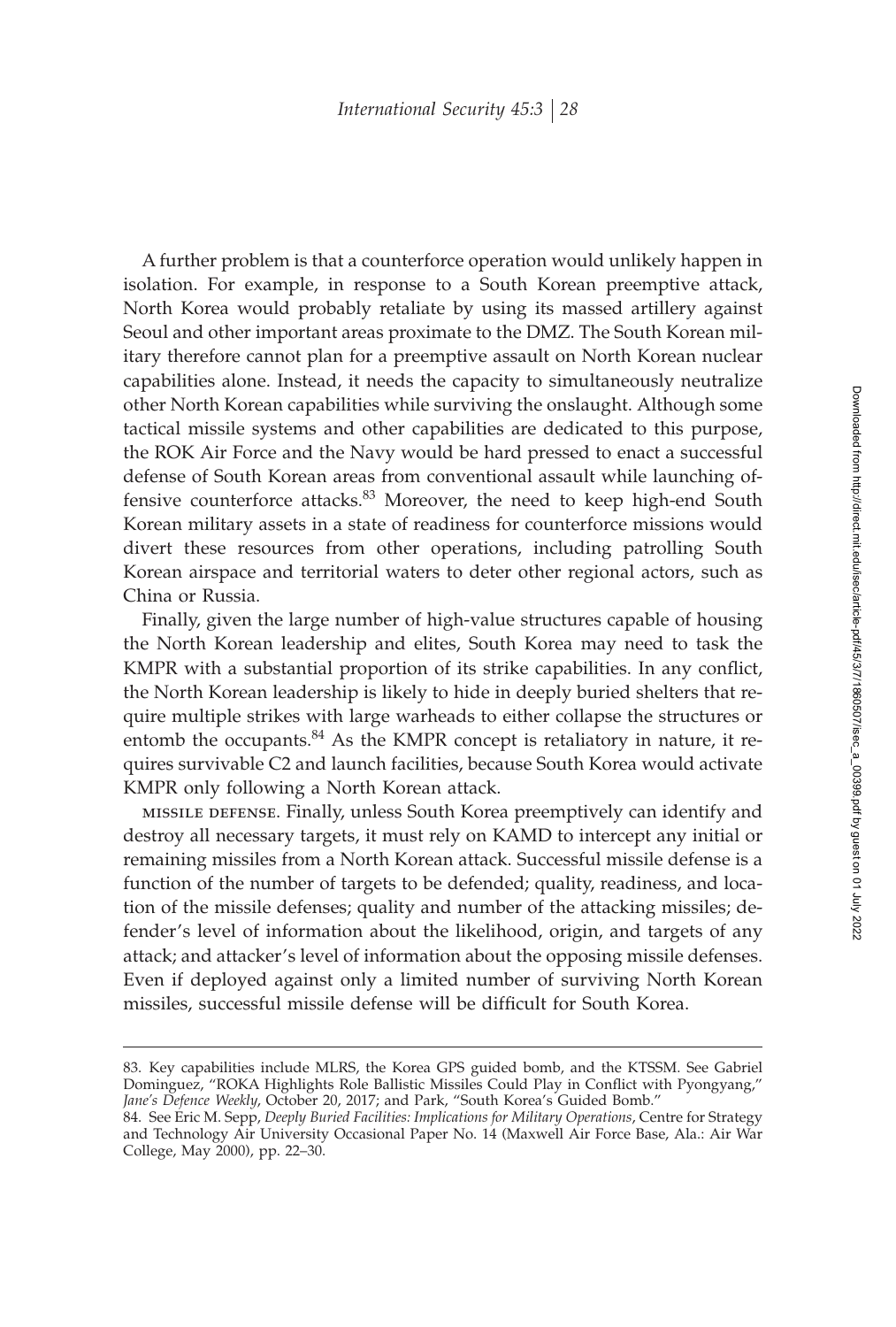A further problem is that a counterforce operation would unlikely happen in isolation. For example, in response to a South Korean preemptive attack, North Korea would probably retaliate by using its massed artillery against Seoul and other important areas proximate to the DMZ. The South Korean military therefore cannot plan for a preemptive assault on North Korean nuclear capabilities alone. Instead, it needs the capacity to simultaneously neutralize other North Korean capabilities while surviving the onslaught. Although some tactical missile systems and other capabilities are dedicated to this purpose, the ROK Air Force and the Navy would be hard pressed to enact a successful defense of South Korean areas from conventional assault while launching offensive counterforce attacks.<sup>83</sup> Moreover, the need to keep high-end South Korean military assets in a state of readiness for counterforce missions would divert these resources from other operations, including patrolling South Korean airspace and territorial waters to deter other regional actors, such as China or Russia.

Finally, given the large number of high-value structures capable of housing the North Korean leadership and elites, South Korea may need to task the KMPR with a substantial proportion of its strike capabilities. In any conflict, the North Korean leadership is likely to hide in deeply buried shelters that require multiple strikes with large warheads to either collapse the structures or entomb the occupants. $84$  As the KMPR concept is retaliatory in nature, it requires survivable C2 and launch facilities, because South Korea would activate KMPR only following a North Korean attack.

missile defense. Finally, unless South Korea preemptively can identify and destroy all necessary targets, it must rely on KAMD to intercept any initial or remaining missiles from a North Korean attack. Successful missile defense is a function of the number of targets to be defended; quality, readiness, and location of the missile defenses; quality and number of the attacking missiles; defender's level of information about the likelihood, origin, and targets of any attack; and attacker's level of information about the opposing missile defenses. Even if deployed against only a limited number of surviving North Korean missiles, successful missile defense will be difficult for South Korea.

<sup>83.</sup> Key capabilities include MLRS, the Korea GPS guided bomb, and the KTSSM. See Gabriel Dominguez, "ROKA Highlights Role Ballistic Missiles Could Play in Conflict with Pyongyang," *Jane's Defence Weekly*, October 20, 2017; and Park, "South Korea's Guided Bomb."

<sup>84.</sup> See Eric M. Sepp, *Deeply Buried Facilities: Implications for Military Operations*, Centre for Strategy and Technology Air University Occasional Paper No. 14 (Maxwell Air Force Base, Ala.: Air War College, May 2000), pp. 22–30.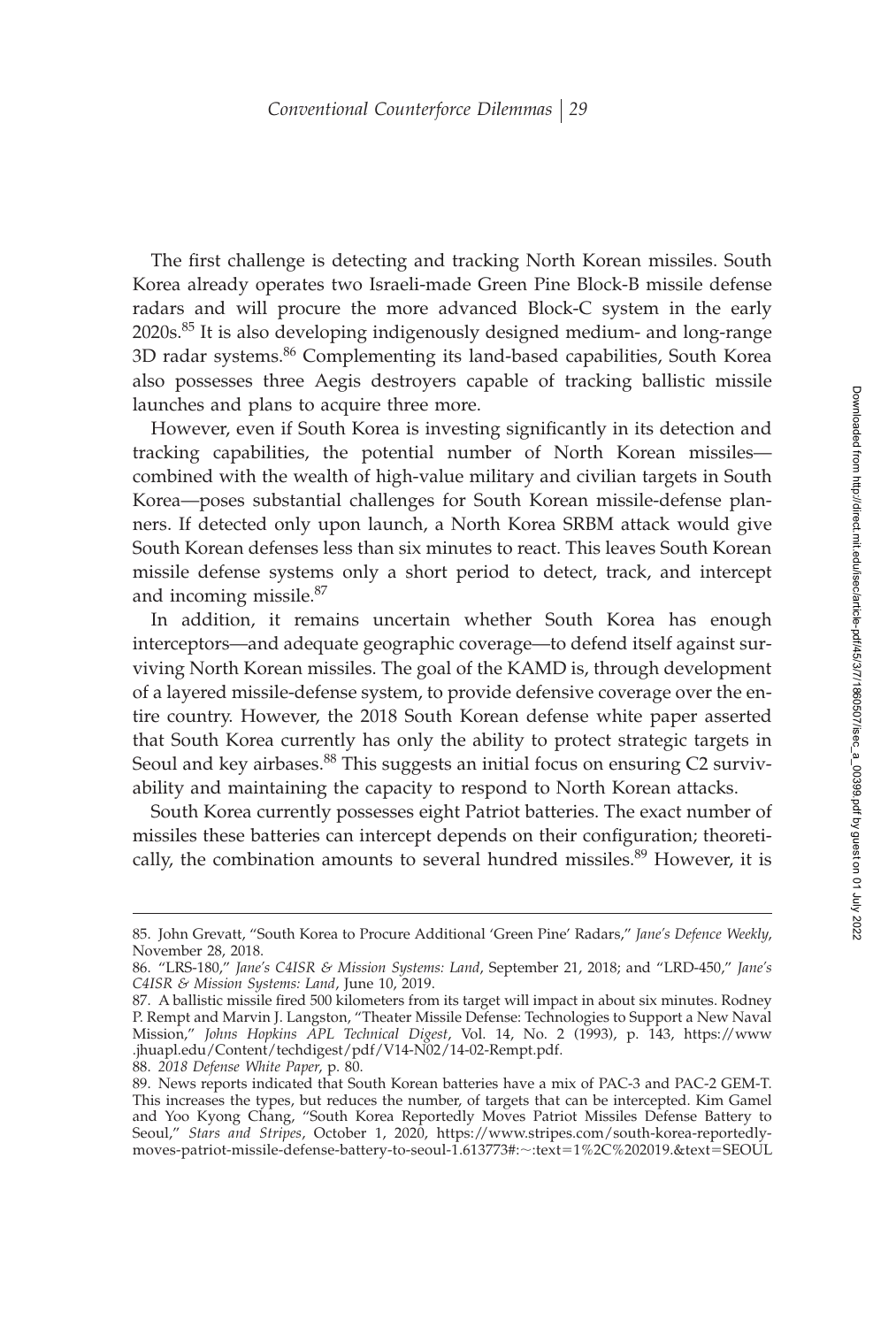The first challenge is detecting and tracking North Korean missiles. South Korea already operates two Israeli-made Green Pine Block-B missile defense radars and will procure the more advanced Block-C system in the early 2020s.<sup>85</sup> It is also developing indigenously designed medium- and long-range 3D radar systems.<sup>86</sup> Complementing its land-based capabilities, South Korea also possesses three Aegis destroyers capable of tracking ballistic missile launches and plans to acquire three more.

However, even if South Korea is investing significantly in its detection and tracking capabilities, the potential number of North Korean missiles combined with the wealth of high-value military and civilian targets in South Korea—poses substantial challenges for South Korean missile-defense planners. If detected only upon launch, a North Korea SRBM attack would give South Korean defenses less than six minutes to react. This leaves South Korean missile defense systems only a short period to detect, track, and intercept and incoming missile.<sup>87</sup>

In addition, it remains uncertain whether South Korea has enough interceptors—and adequate geographic coverage—to defend itself against surviving North Korean missiles. The goal of the KAMD is, through development of a layered missile-defense system, to provide defensive coverage over the entire country. However, the 2018 South Korean defense white paper asserted that South Korea currently has only the ability to protect strategic targets in Seoul and key airbases.<sup>88</sup> This suggests an initial focus on ensuring C2 survivability and maintaining the capacity to respond to North Korean attacks.

South Korea currently possesses eight Patriot batteries. The exact number of missiles these batteries can intercept depends on their configuration; theoretically, the combination amounts to several hundred missiles.<sup>89</sup> However, it is

<sup>85.</sup> John Grevatt, "South Korea to Procure Additional 'Green Pine' Radars," *Jane's Defence Weekly*, November 28, 2018.

<sup>86. &</sup>quot;LRS-180," *Jane's C4ISR & Mission Systems: Land*, September 21, 2018; and "LRD-450," *Jane's C4ISR & Mission Systems: Land*, June 10, 2019.

<sup>87.</sup> A ballistic missile fired 500 kilometers from its target will impact in about six minutes. Rodney P. Rempt and Marvin J. Langston, "Theater Missile Defense: Technologies to Support a New Naval Mission," *Johns Hopkins APL Technical Digest*, Vol. 14, No. 2 (1993), p. 143, https://www .jhuapl.edu/Content/techdigest/pdf/V14-N02/14-02-Rempt.pdf.

<sup>88.</sup> *2018 Defense White Paper*, p. 80.

<sup>89.</sup> News reports indicated that South Korean batteries have a mix of PAC-3 and PAC-2 GEM-T. This increases the types, but reduces the number, of targets that can be intercepted. Kim Gamel and Yoo Kyong Chang, "South Korea Reportedly Moves Patriot Missiles Defense Battery to Seoul," *Stars and Stripes*, October 1, 2020, https://www.stripes.com/south-korea-reportedlymoves-patriot-missile-defense-battery-to-seoul-1.613773#:~:text=1%2C%202019.&text=SEOUL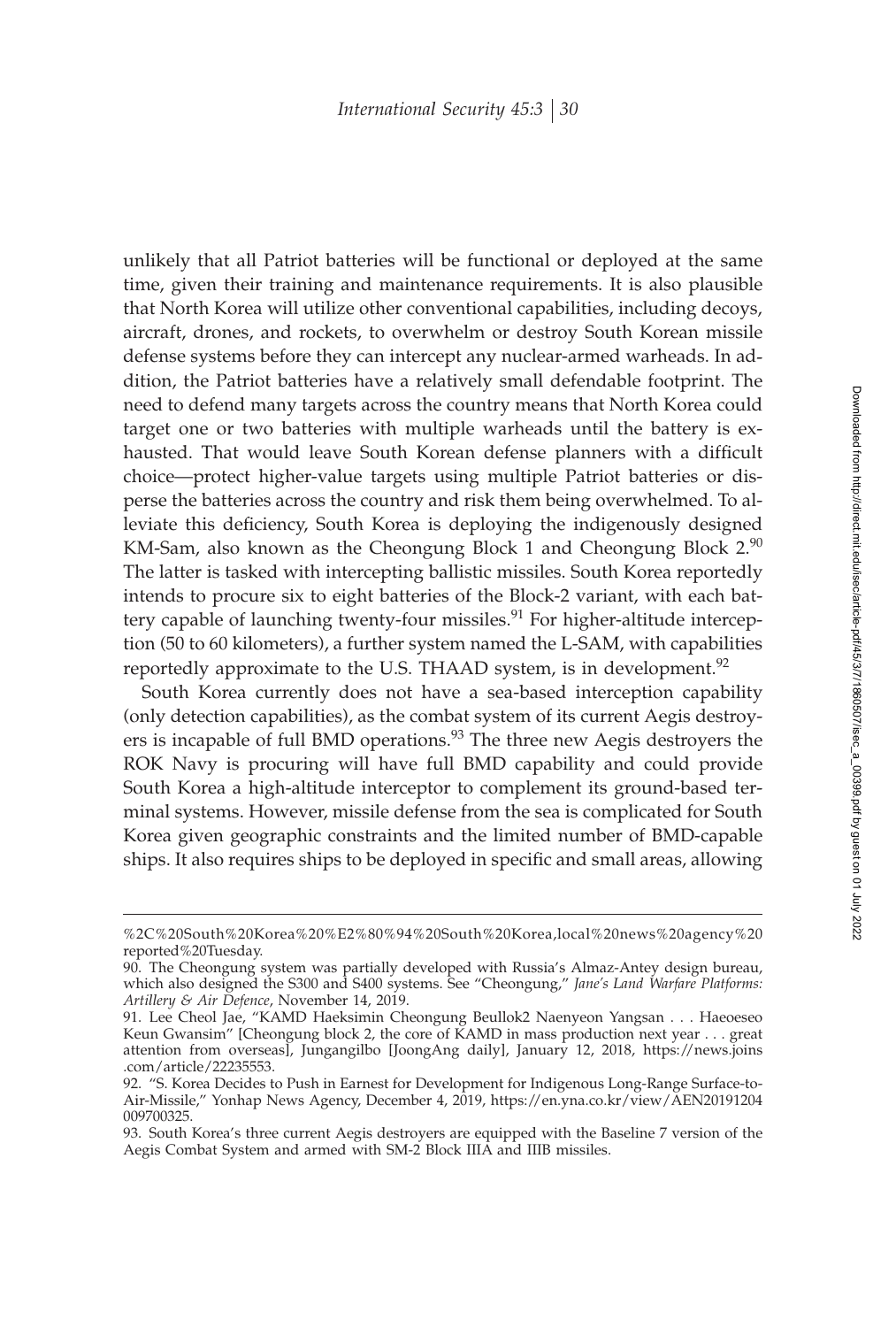unlikely that all Patriot batteries will be functional or deployed at the same time, given their training and maintenance requirements. It is also plausible that North Korea will utilize other conventional capabilities, including decoys, aircraft, drones, and rockets, to overwhelm or destroy South Korean missile defense systems before they can intercept any nuclear-armed warheads. In addition, the Patriot batteries have a relatively small defendable footprint. The need to defend many targets across the country means that North Korea could target one or two batteries with multiple warheads until the battery is exhausted. That would leave South Korean defense planners with a difficult choice—protect higher-value targets using multiple Patriot batteries or disperse the batteries across the country and risk them being overwhelmed. To alleviate this deficiency, South Korea is deploying the indigenously designed KM-Sam, also known as the Cheongung Block 1 and Cheongung Block  $2.90$ The latter is tasked with intercepting ballistic missiles. South Korea reportedly intends to procure six to eight batteries of the Block-2 variant, with each battery capable of launching twenty-four missiles.<sup>91</sup> For higher-altitude interception (50 to 60 kilometers), a further system named the L-SAM, with capabilities reportedly approximate to the U.S. THAAD system, is in development.<sup>92</sup>

South Korea currently does not have a sea-based interception capability (only detection capabilities), as the combat system of its current Aegis destroyers is incapable of full BMD operations.<sup>93</sup> The three new Aegis destroyers the ROK Navy is procuring will have full BMD capability and could provide South Korea a high-altitude interceptor to complement its ground-based terminal systems. However, missile defense from the sea is complicated for South Korea given geographic constraints and the limited number of BMD-capable ships. It also requires ships to be deployed in specific and small areas, allowing

<sup>%2</sup>C%20South%20Korea%20%E2%80%94%20South%20Korea,local%20news%20agency%20 reported%20Tuesday.

<sup>90.</sup> The Cheongung system was partially developed with Russia's Almaz-Antey design bureau, which also designed the S300 and S400 systems. See "Cheongung," *Jane's Land Warfare Platforms: Artillery & Air Defence*, November 14, 2019.

<sup>91.</sup> Lee Cheol Jae, "KAMD Haeksimin Cheongung Beullok2 Naenyeon Yangsan . . . Haeoeseo Keun Gwansim" [Cheongung block 2, the core of KAMD in mass production next year . . . great attention from overseas], Jungangilbo [JoongAng daily], January 12, 2018, https://news.joins .com/article/22235553.

<sup>92. &</sup>quot;S. Korea Decides to Push in Earnest for Development for Indigenous Long-Range Surface-to-Air-Missile," Yonhap News Agency, December 4, 2019, https://en.yna.co.kr/view/AEN20191204 009700325.

<sup>93.</sup> South Korea's three current Aegis destroyers are equipped with the Baseline 7 version of the Aegis Combat System and armed with SM-2 Block IIIA and IIIB missiles.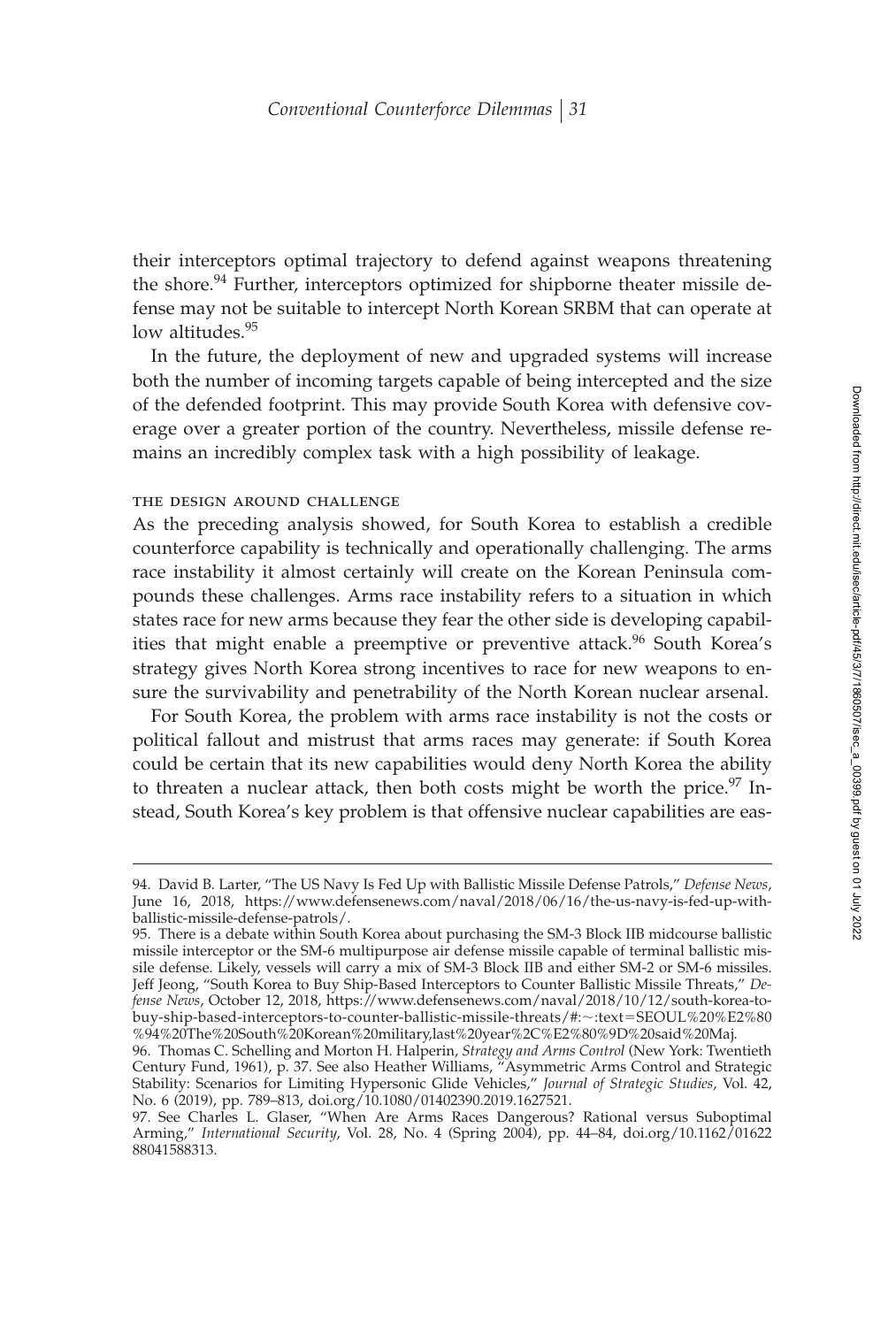their interceptors optimal trajectory to defend against weapons threatening the shore.<sup>94</sup> Further, interceptors optimized for shipborne theater missile defense may not be suitable to intercept North Korean SRBM that can operate at low altitudes.<sup>95</sup>

In the future, the deployment of new and upgraded systems will increase both the number of incoming targets capable of being intercepted and the size of the defended footprint. This may provide South Korea with defensive coverage over a greater portion of the country. Nevertheless, missile defense remains an incredibly complex task with a high possibility of leakage.

## the design around challenge

As the preceding analysis showed, for South Korea to establish a credible counterforce capability is technically and operationally challenging. The arms race instability it almost certainly will create on the Korean Peninsula compounds these challenges. Arms race instability refers to a situation in which states race for new arms because they fear the other side is developing capabilities that might enable a preemptive or preventive attack.<sup>96</sup> South Korea's strategy gives North Korea strong incentives to race for new weapons to ensure the survivability and penetrability of the North Korean nuclear arsenal.

For South Korea, the problem with arms race instability is not the costs or political fallout and mistrust that arms races may generate: if South Korea could be certain that its new capabilities would deny North Korea the ability to threaten a nuclear attack, then both costs might be worth the price.<sup>97</sup> Instead, South Korea's key problem is that offensive nuclear capabilities are eas-

<sup>94.</sup> David B. Larter, "The US Navy Is Fed Up with Ballistic Missile Defense Patrols," *Defense News*, June 16, 2018, https://www.defensenews.com/naval/2018/06/16/the-us-navy-is-fed-up-withballistic-missile-defense-patrols/.

<sup>95.</sup> There is a debate within South Korea about purchasing the SM-3 Block IIB midcourse ballistic missile interceptor or the SM-6 multipurpose air defense missile capable of terminal ballistic missile defense. Likely, vessels will carry a mix of SM-3 Block IIB and either SM-2 or SM-6 missiles. Jeff Jeong, "South Korea to Buy Ship-Based Interceptors to Counter Ballistic Missile Threats," *Defense News*, October 12, 2018, https://www.defensenews.com/naval/2018/10/12/south-korea-tobuy-ship-based-interceptors-to-counter-ballistic-missile-threats/#:~:text=SEOUL%20%E2%80 %94%20The%20South%20Korean%20military,last%20year%2C%E2%80%9D%20said%20Maj.

<sup>96.</sup> Thomas C. Schelling and Morton H. Halperin, *Strategy and Arms Control* (New York: Twentieth Century Fund, 1961), p. 37. See also Heather Williams, "Asymmetric Arms Control and Strategic Stability: Scenarios for Limiting Hypersonic Glide Vehicles," *Journal of Strategic Studies*, Vol. 42, No. 6 (2019), pp. 789–813, doi.org/10.1080/01402390.2019.1627521.

<sup>97.</sup> See Charles L. Glaser, "When Are Arms Races Dangerous? Rational versus Suboptimal Arming," *International Security*, Vol. 28, No. 4 (Spring 2004), pp. 44–84, doi.org/10.1162/01622 88041588313.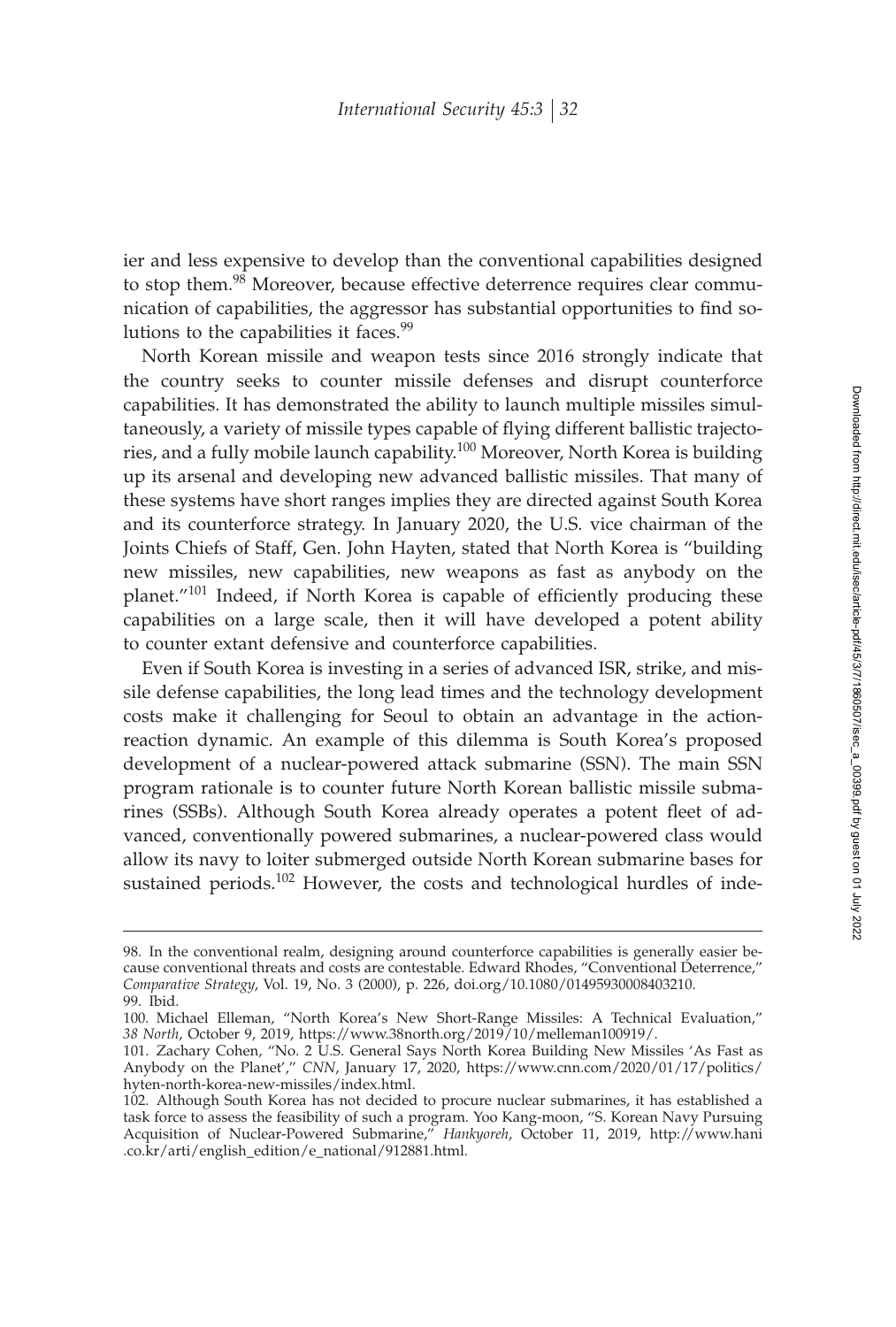ier and less expensive to develop than the conventional capabilities designed to stop them.<sup>98</sup> Moreover, because effective deterrence requires clear communication of capabilities, the aggressor has substantial opportunities to find solutions to the capabilities it faces.<sup>99</sup>

North Korean missile and weapon tests since 2016 strongly indicate that the country seeks to counter missile defenses and disrupt counterforce capabilities. It has demonstrated the ability to launch multiple missiles simultaneously, a variety of missile types capable of flying different ballistic trajectories, and a fully mobile launch capability.<sup>100</sup> Moreover, North Korea is building up its arsenal and developing new advanced ballistic missiles. That many of these systems have short ranges implies they are directed against South Korea and its counterforce strategy. In January 2020, the U.S. vice chairman of the Joints Chiefs of Staff, Gen. John Hayten, stated that North Korea is "building new missiles, new capabilities, new weapons as fast as anybody on the planet. $101$  Indeed, if North Korea is capable of efficiently producing these capabilities on a large scale, then it will have developed a potent ability to counter extant defensive and counterforce capabilities.

Even if South Korea is investing in a series of advanced ISR, strike, and missile defense capabilities, the long lead times and the technology development costs make it challenging for Seoul to obtain an advantage in the actionreaction dynamic. An example of this dilemma is South Korea's proposed development of a nuclear-powered attack submarine (SSN). The main SSN program rationale is to counter future North Korean ballistic missile submarines (SSBs). Although South Korea already operates a potent fleet of advanced, conventionally powered submarines, a nuclear-powered class would allow its navy to loiter submerged outside North Korean submarine bases for sustained periods.<sup>102</sup> However, the costs and technological hurdles of inde-

<sup>98.</sup> In the conventional realm, designing around counterforce capabilities is generally easier because conventional threats and costs are contestable. Edward Rhodes, "Conventional Deterrence," *Comparative Strategy*, Vol. 19, No. 3 (2000), p. 226, doi.org/10.1080/01495930008403210. 99. Ibid.

<sup>100.</sup> Michael Elleman, "North Korea's New Short-Range Missiles: A Technical Evaluation," *38 North*, October 9, 2019, https://www.38north.org/2019/10/melleman100919/.

<sup>101.</sup> Zachary Cohen, "No. 2 U.S. General Says North Korea Building New Missiles 'As Fast as Anybody on the Planet'," *CNN*, January 17, 2020, https://www.cnn.com/2020/01/17/politics/ hyten-north-korea-new-missiles/index.html.

<sup>102.</sup> Although South Korea has not decided to procure nuclear submarines, it has established a task force to assess the feasibility of such a program. Yoo Kang-moon, "S. Korean Navy Pursuing Acquisition of Nuclear-Powered Submarine," *Hankyoreh*, October 11, 2019, http://www.hani .co.kr/arti/english\_edition/e\_national/912881.html.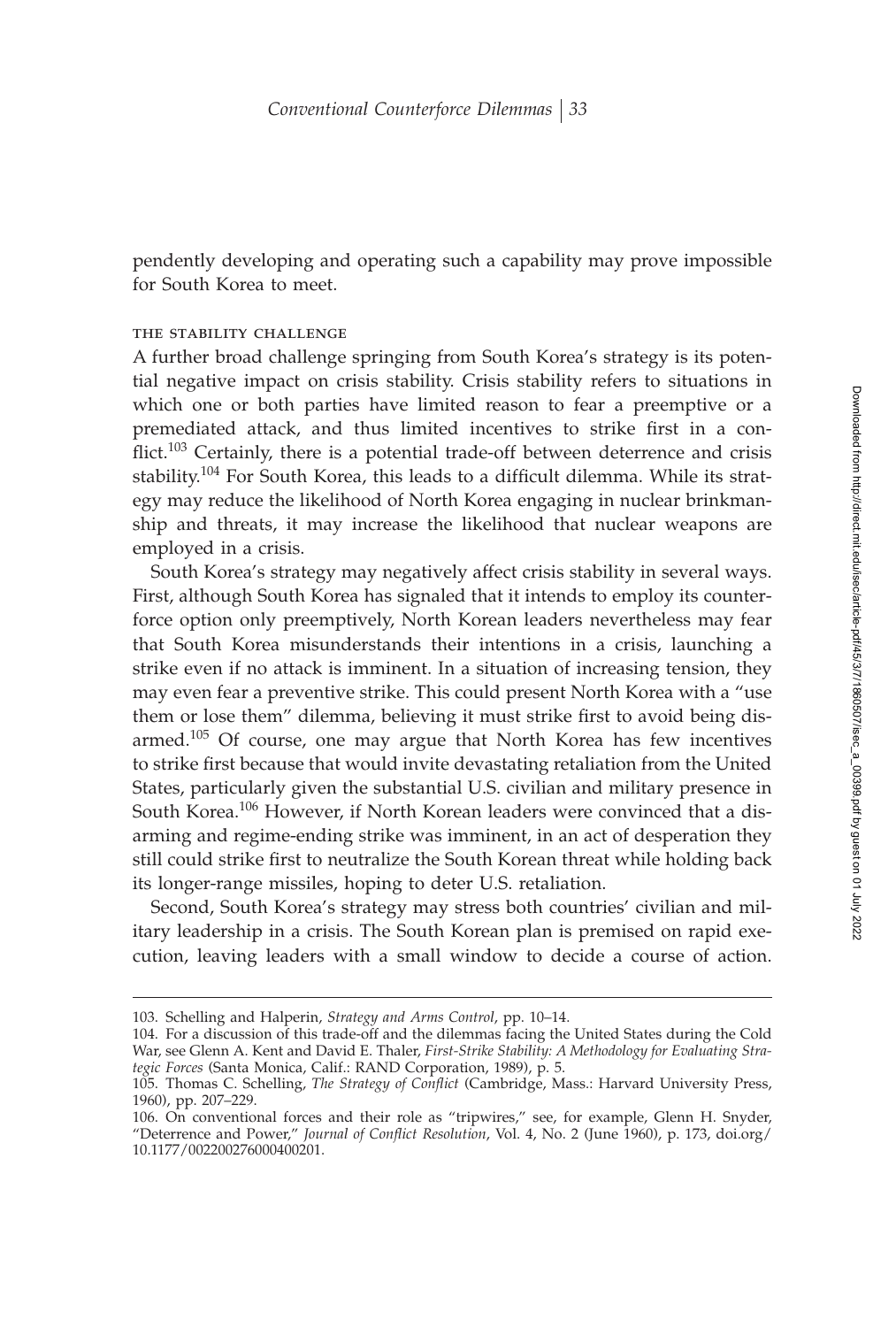pendently developing and operating such a capability may prove impossible for South Korea to meet.

#### the stability challenge

A further broad challenge springing from South Korea's strategy is its potential negative impact on crisis stability. Crisis stability refers to situations in which one or both parties have limited reason to fear a preemptive or a premediated attack, and thus limited incentives to strike first in a conflict.<sup>103</sup> Certainly, there is a potential trade-off between deterrence and crisis stability.<sup>104</sup> For South Korea, this leads to a difficult dilemma. While its strategy may reduce the likelihood of North Korea engaging in nuclear brinkmanship and threats, it may increase the likelihood that nuclear weapons are employed in a crisis.

South Korea's strategy may negatively affect crisis stability in several ways. First, although South Korea has signaled that it intends to employ its counterforce option only preemptively, North Korean leaders nevertheless may fear that South Korea misunderstands their intentions in a crisis, launching a strike even if no attack is imminent. In a situation of increasing tension, they may even fear a preventive strike. This could present North Korea with a "use them or lose them" dilemma, believing it must strike first to avoid being disarmed.<sup>105</sup> Of course, one may argue that North Korea has few incentives to strike first because that would invite devastating retaliation from the United States, particularly given the substantial U.S. civilian and military presence in South Korea.<sup>106</sup> However, if North Korean leaders were convinced that a disarming and regime-ending strike was imminent, in an act of desperation they still could strike first to neutralize the South Korean threat while holding back its longer-range missiles, hoping to deter U.S. retaliation.

Second, South Korea's strategy may stress both countries' civilian and military leadership in a crisis. The South Korean plan is premised on rapid execution, leaving leaders with a small window to decide a course of action.

<sup>103.</sup> Schelling and Halperin, *Strategy and Arms Control*, pp. 10–14.

<sup>104.</sup> For a discussion of this trade-off and the dilemmas facing the United States during the Cold War, see Glenn A. Kent and David E. Thaler, *First-Strike Stability: A Methodology for Evaluating Strategic Forces* (Santa Monica, Calif.: RAND Corporation, 1989), p. 5.

<sup>105.</sup> Thomas C. Schelling, *The Strategy of Conflict* (Cambridge, Mass.: Harvard University Press, 1960), pp. 207–229.

<sup>106.</sup> On conventional forces and their role as "tripwires," see, for example, Glenn H. Snyder, "Deterrence and Power," *Journal of Conflict Resolution*, Vol. 4, No. 2 (June 1960), p. 173, doi.org/ 10.1177/002200276000400201.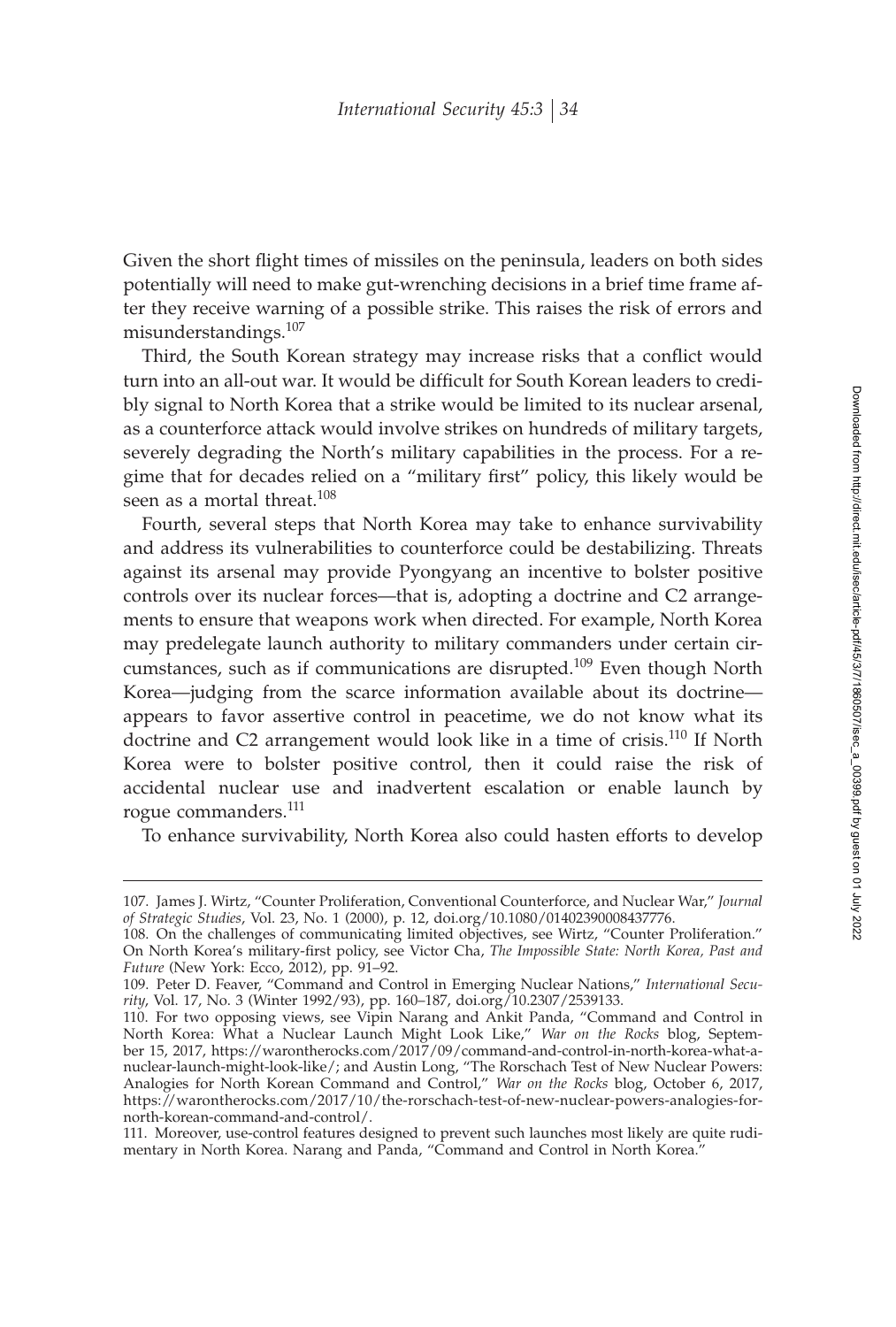Given the short flight times of missiles on the peninsula, leaders on both sides potentially will need to make gut-wrenching decisions in a brief time frame after they receive warning of a possible strike. This raises the risk of errors and misunderstandings.<sup>107</sup>

Third, the South Korean strategy may increase risks that a conflict would turn into an all-out war. It would be difficult for South Korean leaders to credibly signal to North Korea that a strike would be limited to its nuclear arsenal, as a counterforce attack would involve strikes on hundreds of military targets, severely degrading the North's military capabilities in the process. For a regime that for decades relied on a "military first" policy, this likely would be seen as a mortal threat.<sup>108</sup>

Fourth, several steps that North Korea may take to enhance survivability and address its vulnerabilities to counterforce could be destabilizing. Threats against its arsenal may provide Pyongyang an incentive to bolster positive controls over its nuclear forces—that is, adopting a doctrine and C2 arrangements to ensure that weapons work when directed. For example, North Korea may predelegate launch authority to military commanders under certain circumstances, such as if communications are disrupted.<sup>109</sup> Even though North Korea—judging from the scarce information available about its doctrine appears to favor assertive control in peacetime, we do not know what its doctrine and C2 arrangement would look like in a time of crisis.<sup>110</sup> If North Korea were to bolster positive control, then it could raise the risk of accidental nuclear use and inadvertent escalation or enable launch by rogue commanders.<sup>111</sup>

To enhance survivability, North Korea also could hasten efforts to develop

<sup>107.</sup> James J. Wirtz, "Counter Proliferation, Conventional Counterforce, and Nuclear War," *Journal of Strategic Studies*, Vol. 23, No. 1 (2000), p. 12, doi.org/10.1080/01402390008437776.

<sup>108.</sup> On the challenges of communicating limited objectives, see Wirtz, "Counter Proliferation." On North Korea's military-first policy, see Victor Cha, The Impossible State: North Korea, Past and *Future* (New York: Ecco, 2012), pp. 91–92.

<sup>109.</sup> Peter D. Feaver, "Command and Control in Emerging Nuclear Nations," *International Security*, Vol. 17, No. 3 (Winter 1992/93), pp. 160–187, doi.org/10.2307/2539133.

<sup>110.</sup> For two opposing views, see Vipin Narang and Ankit Panda, "Command and Control in North Korea: What a Nuclear Launch Might Look Like," *War on the Rocks* blog, September 15, 2017, https://warontherocks.com/2017/09/command-and-control-in-north-korea-what-anuclear-launch-might-look-like/; and Austin Long, "The Rorschach Test of New Nuclear Powers: Analogies for North Korean Command and Control," *War on the Rocks* blog, October 6, 2017, https://warontherocks.com/2017/10/the-rorschach-test-of-new-nuclear-powers-analogies-fornorth-korean-command-and-control/.

<sup>111.</sup> Moreover, use-control features designed to prevent such launches most likely are quite rudimentary in North Korea. Narang and Panda, "Command and Control in North Korea."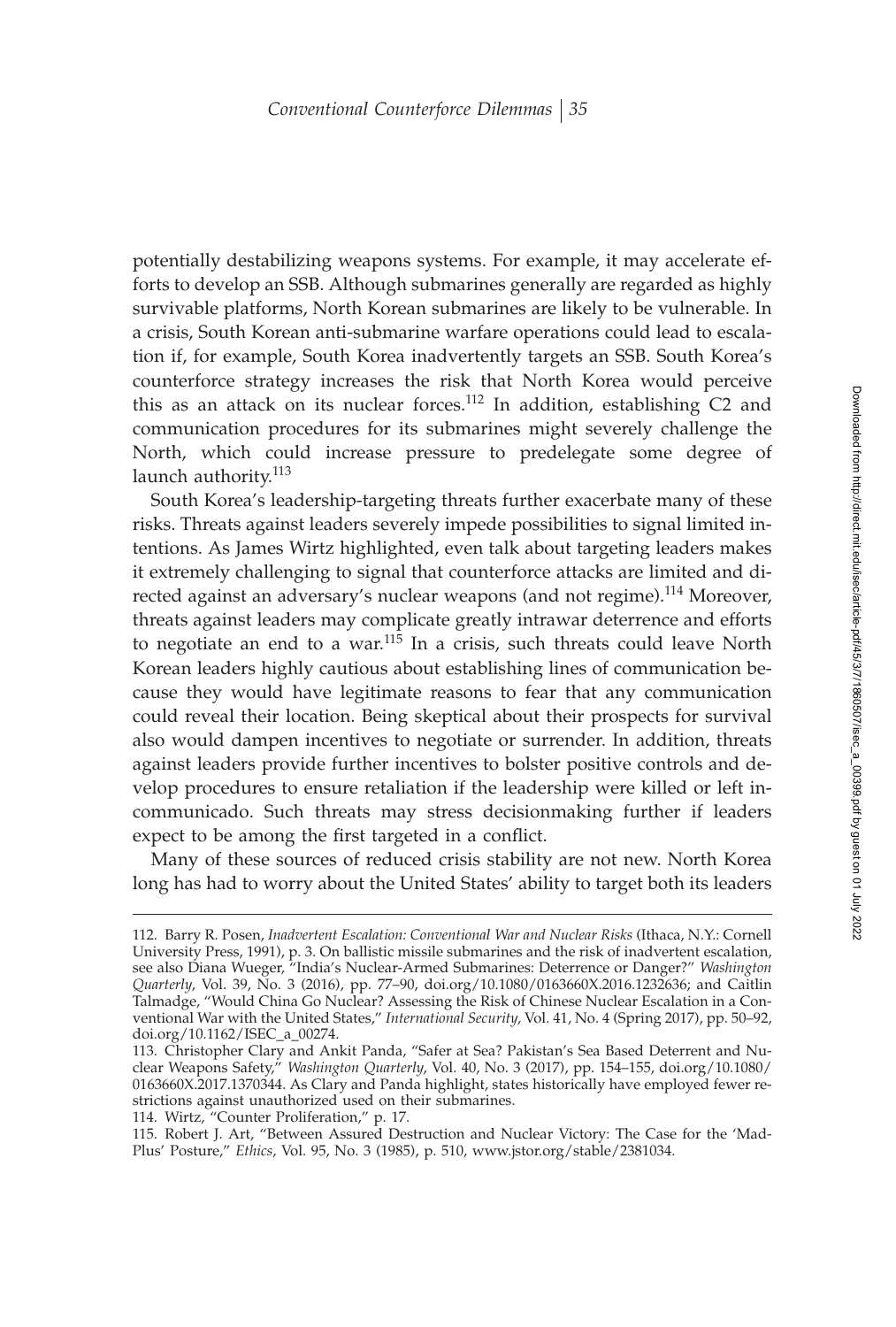potentially destabilizing weapons systems. For example, it may accelerate efforts to develop an SSB. Although submarines generally are regarded as highly survivable platforms, North Korean submarines are likely to be vulnerable. In a crisis, South Korean anti-submarine warfare operations could lead to escalation if, for example, South Korea inadvertently targets an SSB. South Korea's counterforce strategy increases the risk that North Korea would perceive this as an attack on its nuclear forces.<sup>112</sup> In addition, establishing C2 and communication procedures for its submarines might severely challenge the North, which could increase pressure to predelegate some degree of launch authority.<sup>113</sup>

South Korea's leadership-targeting threats further exacerbate many of these risks. Threats against leaders severely impede possibilities to signal limited intentions. As James Wirtz highlighted, even talk about targeting leaders makes it extremely challenging to signal that counterforce attacks are limited and directed against an adversary's nuclear weapons (and not regime).<sup>114</sup> Moreover, threats against leaders may complicate greatly intrawar deterrence and efforts to negotiate an end to a war.<sup>115</sup> In a crisis, such threats could leave North Korean leaders highly cautious about establishing lines of communication because they would have legitimate reasons to fear that any communication could reveal their location. Being skeptical about their prospects for survival also would dampen incentives to negotiate or surrender. In addition, threats against leaders provide further incentives to bolster positive controls and develop procedures to ensure retaliation if the leadership were killed or left incommunicado. Such threats may stress decisionmaking further if leaders expect to be among the first targeted in a conflict.

Many of these sources of reduced crisis stability are not new. North Korea long has had to worry about the United States' ability to target both its leaders

114. Wirtz, "Counter Proliferation," p. 17.

<sup>112.</sup> Barry R. Posen, *Inadvertent Escalation: Conventional War and Nuclear Risks* (Ithaca, N.Y.: Cornell University Press, 1991), p. 3. On ballistic missile submarines and the risk of inadvertent escalation, see also Diana Wueger, "India's Nuclear-Armed Submarines: Deterrence or Danger?" *Washington Quarterly*, Vol. 39, No. 3 (2016), pp. 77–90, doi.org/10.1080/0163660X.2016.1232636; and Caitlin Talmadge, "Would China Go Nuclear? Assessing the Risk of Chinese Nuclear Escalation in a Conventional War with the United States," *International Security*, Vol. 41, No. 4 (Spring 2017), pp. 50–92, doi.org/10.1162/ISEC\_a\_00274.

<sup>113.</sup> Christopher Clary and Ankit Panda, "Safer at Sea? Pakistan's Sea Based Deterrent and Nuclear Weapons Safety," *Washington Quarterly*, Vol. 40, No. 3 (2017), pp. 154–155, doi.org/10.1080/ 0163660X.2017.1370344. As Clary and Panda highlight, states historically have employed fewer restrictions against unauthorized used on their submarines.

<sup>115.</sup> Robert J. Art, "Between Assured Destruction and Nuclear Victory: The Case for the 'Mad-Plus' Posture," *Ethics*, Vol. 95, No. 3 (1985), p. 510, www.jstor.org/stable/2381034.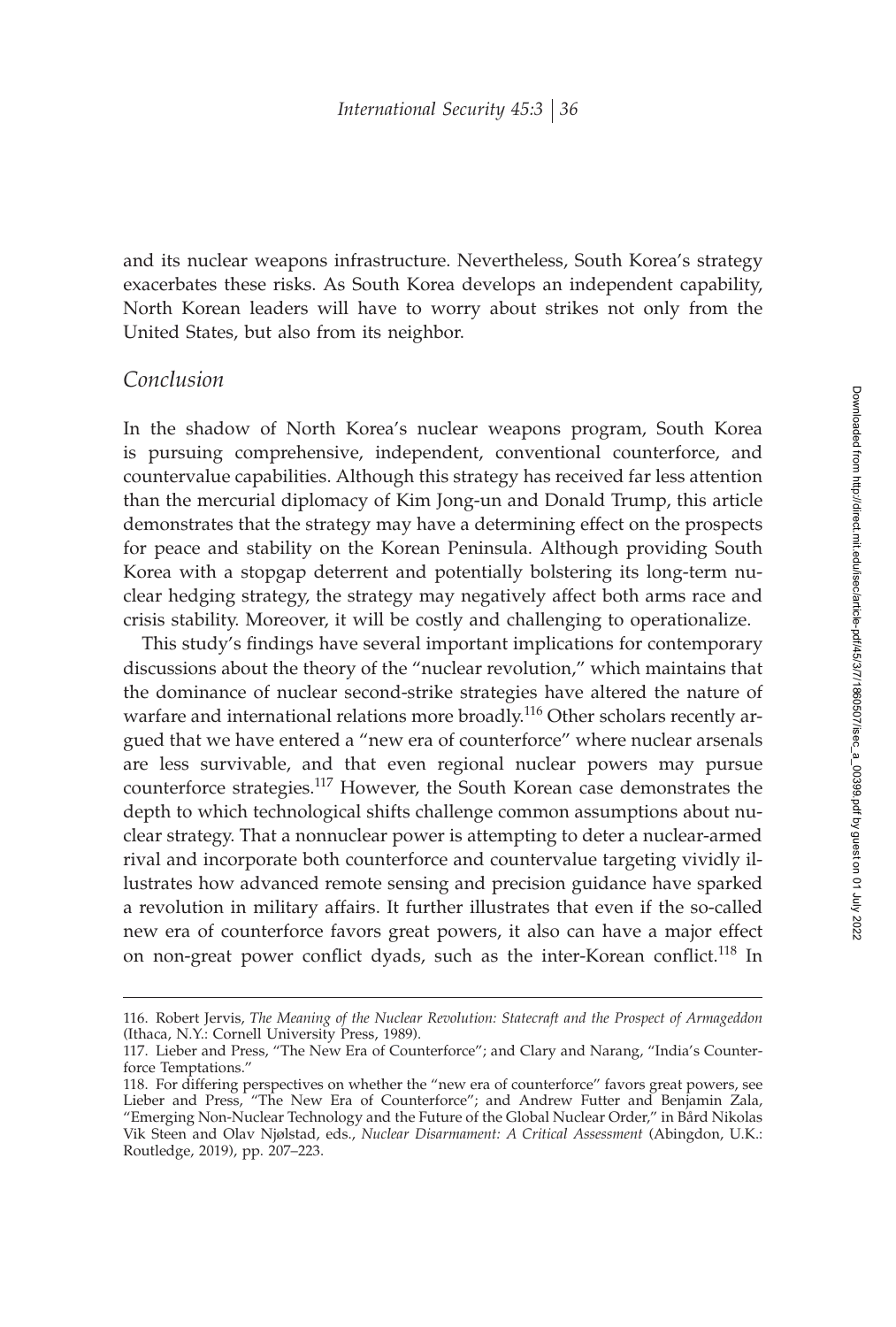and its nuclear weapons infrastructure. Nevertheless, South Korea's strategy exacerbates these risks. As South Korea develops an independent capability, North Korean leaders will have to worry about strikes not only from the United States, but also from its neighbor.

## *Conclusion*

In the shadow of North Korea's nuclear weapons program, South Korea is pursuing comprehensive, independent, conventional counterforce, and countervalue capabilities. Although this strategy has received far less attention than the mercurial diplomacy of Kim Jong-un and Donald Trump, this article demonstrates that the strategy may have a determining effect on the prospects for peace and stability on the Korean Peninsula. Although providing South Korea with a stopgap deterrent and potentially bolstering its long-term nuclear hedging strategy, the strategy may negatively affect both arms race and crisis stability. Moreover, it will be costly and challenging to operationalize.

This study's findings have several important implications for contemporary discussions about the theory of the "nuclear revolution," which maintains that the dominance of nuclear second-strike strategies have altered the nature of warfare and international relations more broadly.<sup>116</sup> Other scholars recently argued that we have entered a "new era of counterforce" where nuclear arsenals are less survivable, and that even regional nuclear powers may pursue counterforce strategies.<sup>117</sup> However, the South Korean case demonstrates the depth to which technological shifts challenge common assumptions about nuclear strategy. That a nonnuclear power is attempting to deter a nuclear-armed rival and incorporate both counterforce and countervalue targeting vividly illustrates how advanced remote sensing and precision guidance have sparked a revolution in military affairs. It further illustrates that even if the so-called new era of counterforce favors great powers, it also can have a major effect on non-great power conflict dyads, such as the inter-Korean conflict.<sup>118</sup> In

<sup>116.</sup> Robert Jervis, *The Meaning of the Nuclear Revolution: Statecraft and the Prospect of Armageddon* (Ithaca, N.Y.: Cornell University Press, 1989).

<sup>117.</sup> Lieber and Press, "The New Era of Counterforce"; and Clary and Narang, "India's Counterforce Temptations."

<sup>118.</sup> For differing perspectives on whether the "new era of counterforce" favors great powers, see Lieber and Press, "The New Era of Counterforce"; and Andrew Futter and Benjamin Zala, "Emerging Non-Nuclear Technology and the Future of the Global Nuclear Order," in Bård Nikolas Vik Steen and Olav Njølstad, eds., *Nuclear Disarmament: A Critical Assessment* (Abingdon, U.K.: Routledge, 2019), pp. 207–223.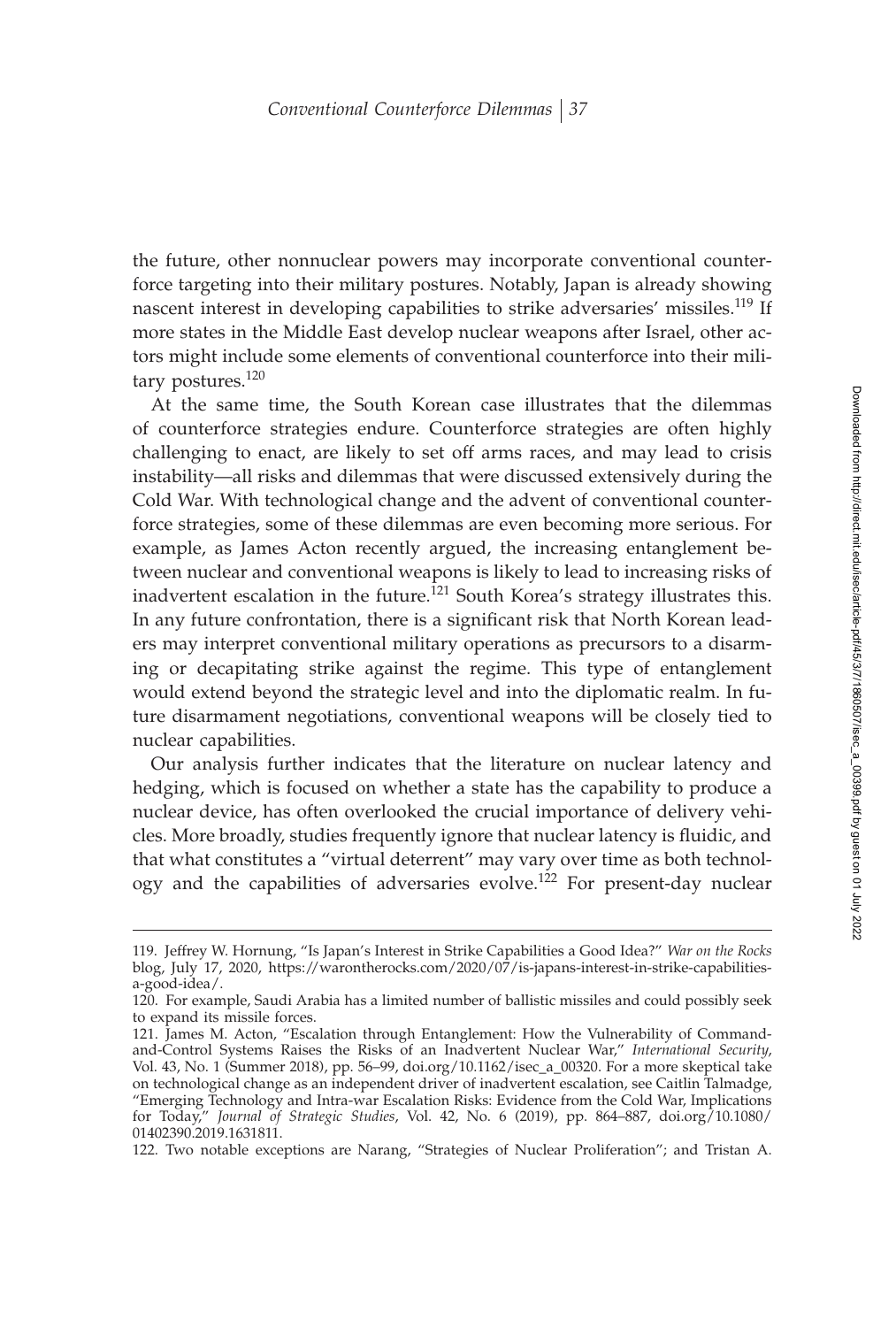the future, other nonnuclear powers may incorporate conventional counterforce targeting into their military postures. Notably, Japan is already showing nascent interest in developing capabilities to strike adversaries' missiles.<sup>119</sup> If more states in the Middle East develop nuclear weapons after Israel, other actors might include some elements of conventional counterforce into their military postures.<sup>120</sup>

At the same time, the South Korean case illustrates that the dilemmas of counterforce strategies endure. Counterforce strategies are often highly challenging to enact, are likely to set off arms races, and may lead to crisis instability—all risks and dilemmas that were discussed extensively during the Cold War. With technological change and the advent of conventional counterforce strategies, some of these dilemmas are even becoming more serious. For example, as James Acton recently argued, the increasing entanglement between nuclear and conventional weapons is likely to lead to increasing risks of inadvertent escalation in the future.<sup>121</sup> South Korea's strategy illustrates this. In any future confrontation, there is a significant risk that North Korean leaders may interpret conventional military operations as precursors to a disarming or decapitating strike against the regime. This type of entanglement would extend beyond the strategic level and into the diplomatic realm. In future disarmament negotiations, conventional weapons will be closely tied to nuclear capabilities.

Our analysis further indicates that the literature on nuclear latency and hedging, which is focused on whether a state has the capability to produce a nuclear device, has often overlooked the crucial importance of delivery vehicles. More broadly, studies frequently ignore that nuclear latency is fluidic, and that what constitutes a "virtual deterrent" may vary over time as both technology and the capabilities of adversaries evolve.<sup>122</sup> For present-day nuclear

<sup>119.</sup> Jeffrey W. Hornung, "Is Japan's Interest in Strike Capabilities a Good Idea?" *War on the Rocks* blog, July 17, 2020, https://warontherocks.com/2020/07/is-japans-interest-in-strike-capabilitiesa-good-idea/.

<sup>120.</sup> For example, Saudi Arabia has a limited number of ballistic missiles and could possibly seek to expand its missile forces.

<sup>121.</sup> James M. Acton, "Escalation through Entanglement: How the Vulnerability of Commandand-Control Systems Raises the Risks of an Inadvertent Nuclear War," *International Security*, Vol. 43, No. 1 (Summer 2018), pp. 56–99, doi.org/10.1162/isec\_a\_00320. For a more skeptical take on technological change as an independent driver of inadvertent escalation, see Caitlin Talmadge, "Emerging Technology and Intra-war Escalation Risks: Evidence from the Cold War, Implications for Today," *Journal of Strategic Studies*, Vol. 42, No. 6 (2019), pp. 864–887, doi.org/10.1080/ 01402390.2019.1631811.

<sup>122.</sup> Two notable exceptions are Narang, "Strategies of Nuclear Proliferation"; and Tristan A.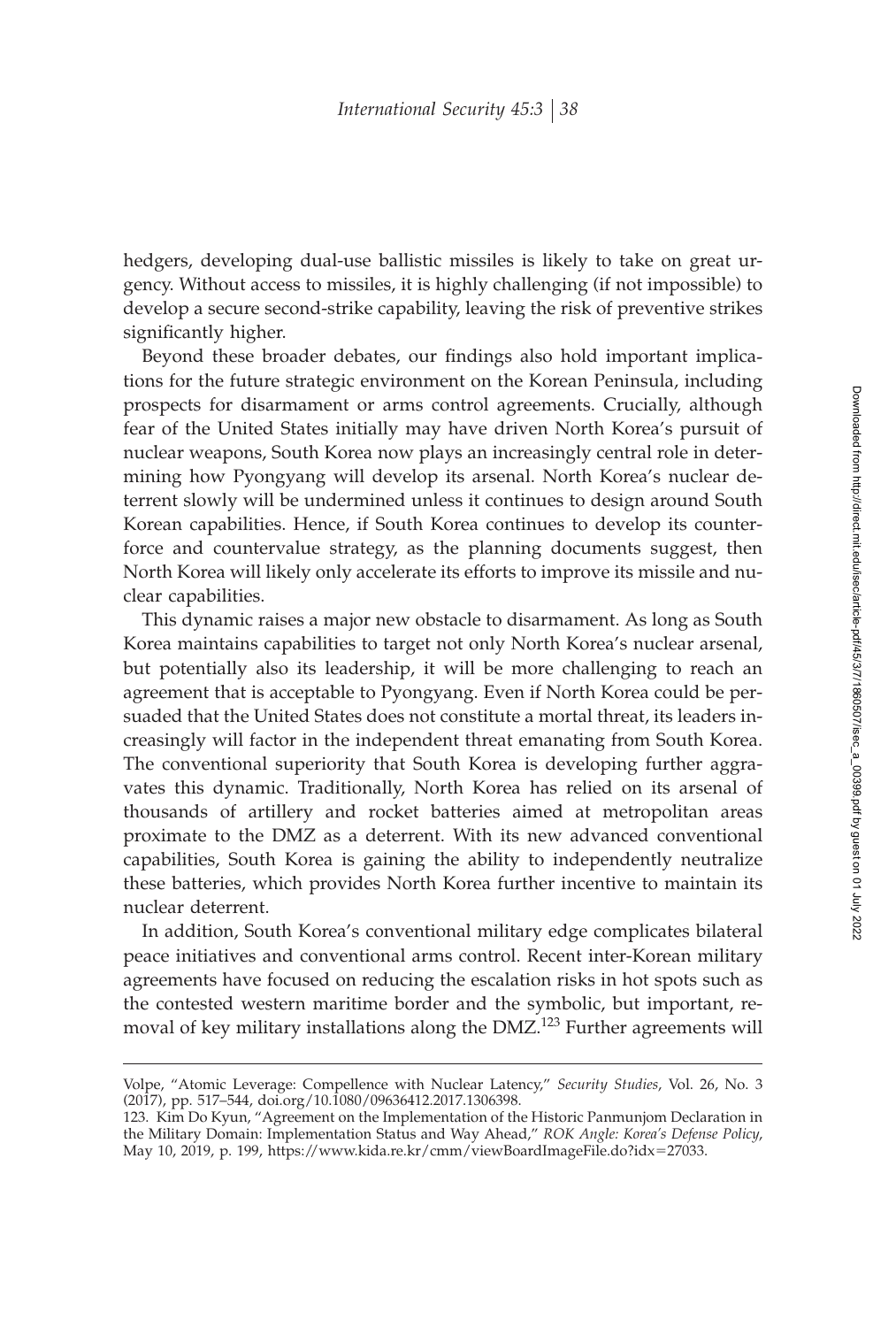hedgers, developing dual-use ballistic missiles is likely to take on great urgency. Without access to missiles, it is highly challenging (if not impossible) to develop a secure second-strike capability, leaving the risk of preventive strikes significantly higher.

Beyond these broader debates, our findings also hold important implications for the future strategic environment on the Korean Peninsula, including prospects for disarmament or arms control agreements. Crucially, although fear of the United States initially may have driven North Korea's pursuit of nuclear weapons, South Korea now plays an increasingly central role in determining how Pyongyang will develop its arsenal. North Korea's nuclear deterrent slowly will be undermined unless it continues to design around South Korean capabilities. Hence, if South Korea continues to develop its counterforce and countervalue strategy, as the planning documents suggest, then North Korea will likely only accelerate its efforts to improve its missile and nuclear capabilities.

This dynamic raises a major new obstacle to disarmament. As long as South Korea maintains capabilities to target not only North Korea's nuclear arsenal, but potentially also its leadership, it will be more challenging to reach an agreement that is acceptable to Pyongyang. Even if North Korea could be persuaded that the United States does not constitute a mortal threat, its leaders increasingly will factor in the independent threat emanating from South Korea. The conventional superiority that South Korea is developing further aggravates this dynamic. Traditionally, North Korea has relied on its arsenal of thousands of artillery and rocket batteries aimed at metropolitan areas proximate to the DMZ as a deterrent. With its new advanced conventional capabilities, South Korea is gaining the ability to independently neutralize these batteries, which provides North Korea further incentive to maintain its nuclear deterrent.

In addition, South Korea's conventional military edge complicates bilateral peace initiatives and conventional arms control. Recent inter-Korean military agreements have focused on reducing the escalation risks in hot spots such as the contested western maritime border and the symbolic, but important, removal of key military installations along the DMZ.<sup>123</sup> Further agreements will

Volpe, "Atomic Leverage: Compellence with Nuclear Latency," *Security Studies*, Vol. 26, No. 3 (2017), pp. 517–544, doi.org/10.1080/09636412.2017.1306398.

<sup>123.</sup> Kim Do Kyun, "Agreement on the Implementation of the Historic Panmunjom Declaration in the Military Domain: Implementation Status and Way Ahead," *ROK Angle: Korea's Defense Policy*, May 10, 2019, p. 199, https://www.kida.re.kr/cmm/viewBoardImageFile.do?idx-27033.